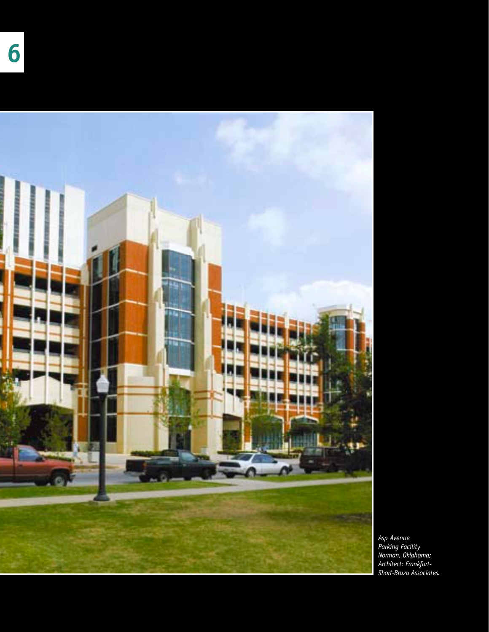



*Asp Avenue Parking Facility Norman, Oklahoma; Architect: Frankfurt-Short-Bruza Associates.*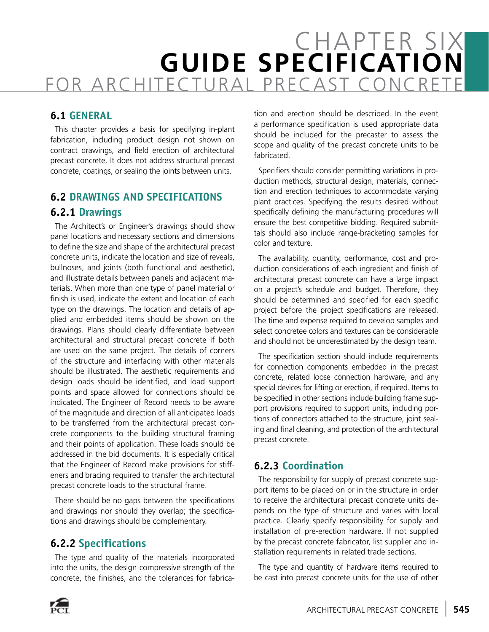# CHAPTER SIX **GUIDE SPECIFICATION** FOR ARCHITECTURAL PRECAST CONCRETE

#### **6.1 GENERAL**

This chapter provides a basis for specifying in-plant fabrication, including product design not shown on contract drawings, and field erection of architectural precast concrete. It does not address structural precast concrete, coatings, or sealing the joints between units.

#### **6.2 DRAWINGS AND SPECIFICATIONS 6.2.1 Drawings**

The Architect's or Engineer's drawings should show panel locations and necessary sections and dimensions to define the size and shape of the architectural precast concrete units, indicate the location and size of reveals, bullnoses, and joints (both functional and aesthetic), and illustrate details between panels and adjacent materials. When more than one type of panel material or finish is used, indicate the extent and location of each type on the drawings. The location and details of applied and embedded items should be shown on the drawings. Plans should clearly differentiate between architectural and structural precast concrete if both are used on the same project. The details of corners of the structure and interfacing with other materials should be illustrated. The aesthetic requirements and design loads should be identified, and load support points and space allowed for connections should be indicated. The Engineer of Record needs to be aware of the magnitude and direction of all anticipated loads to be transferred from the architectural precast concrete components to the building structural framing and their points of application. These loads should be addressed in the bid documents. It is especially critical that the Engineer of Record make provisions for stiffeners and bracing required to transfer the architectural precast concrete loads to the structural frame.

There should be no gaps between the specifications and drawings nor should they overlap; the specifications and drawings should be complementary.

#### **6.2.2 Specifications**

The type and quality of the materials incorporated into the units, the design compressive strength of the concrete, the finishes, and the tolerances for fabrica-

tion and erection should be described. In the event a performance specification is used appropriate data should be included for the precaster to assess the scope and quality of the precast concrete units to be fabricated.

Specifiers should consider permitting variations in production methods, structural design, materials, connection and erection techniques to accommodate varying plant practices. Specifying the results desired without specifically defining the manufacturing procedures will ensure the best competitive bidding. Required submittals should also include range-bracketing samples for color and texture.

The availability, quantity, performance, cost and production considerations of each ingredient and finish of architectural precast concrete can have a large impact on a project's schedule and budget. Therefore, they should be determined and specified for each specific project before the project specifications are released. The time and expense required to develop samples and select concretee colors and textures can be considerable and should not be underestimated by the design team.

The specification section should include requirements for connection components embedded in the precast concrete, related loose connection hardware, and any special devices for lifting or erection, if required. Items to be specified in other sections include building frame support provisions required to support units, including portions of connectors attached to the structure, joint sealing and final cleaning, and protection of the architectural precast concrete.

#### **6.2.3 Coordination**

The responsibility for supply of precast concrete support items to be placed on or in the structure in order to receive the architectural precast concrete units depends on the type of structure and varies with local practice. Clearly specify responsibility for supply and installation of pre-erection hardware. If not supplied by the precast concrete fabricator, list supplier and installation requirements in related trade sections.

The type and quantity of hardware items required to be cast into precast concrete units for the use of other

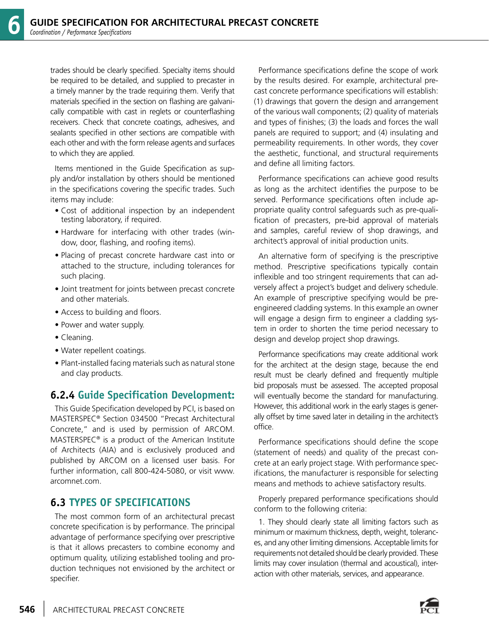trades should be clearly specified. Specialty items should be required to be detailed, and supplied to precaster in a timely manner by the trade requiring them. Verify that materials specified in the section on flashing are galvanically compatible with cast in reglets or counterflashing receivers. Check that concrete coatings, adhesives, and sealants specified in other sections are compatible with each other and with the form release agents and surfaces to which they are applied.

Items mentioned in the Guide Specification as supply and/or installation by others should be mentioned in the specifications covering the specific trades. Such items may include:

- Cost of additional inspection by an independent testing laboratory, if required.
- Hardware for interfacing with other trades (window, door, flashing, and roofing items).
- Placing of precast concrete hardware cast into or attached to the structure, including tolerances for such placing.
- Joint treatment for joints between precast concrete and other materials.
- Access to building and floors.
- Power and water supply.
- Cleaning.
- Water repellent coatings.
- Plant-installed facing materials such as natural stone and clay products.

#### **6.2.4 Guide Specification Development:**

This Guide Specification developed by PCI, is based on MASTERSPEC® Section 034500 "Precast Architectural Concrete," and is used by permission of ARCOM. MASTERSPEC® is a product of the American Institute of Architects (AIA) and is exclusively produced and published by ARCOM on a licensed user basis. For further information, call 800-424-5080, or visit www. arcomnet.com.

#### **6.3 TYPES OF SPECIFICATIONS**

The most common form of an architectural precast concrete specification is by performance. The principal advantage of performance specifying over prescriptive is that it allows precasters to combine economy and optimum quality, utilizing established tooling and production techniques not envisioned by the architect or specifier.

Performance specifications define the scope of work by the results desired. For example, architectural precast concrete performance specifications will establish: (1) drawings that govern the design and arrangement of the various wall components; (2) quality of materials and types of finishes; (3) the loads and forces the wall panels are required to support; and (4) insulating and permeability requirements. In other words, they cover the aesthetic, functional, and structural requirements and define all limiting factors.

Performance specifications can achieve good results as long as the architect identifies the purpose to be served. Performance specifications often include appropriate quality control safeguards such as pre-qualification of precasters, pre-bid approval of materials and samples, careful review of shop drawings, and architect's approval of initial production units.

An alternative form of specifying is the prescriptive method. Prescriptive specifications typically contain inflexible and too stringent requirements that can adversely affect a project's budget and delivery schedule. An example of prescriptive specifying would be preengineered cladding systems. In this example an owner will engage a design firm to engineer a cladding system in order to shorten the time period necessary to design and develop project shop drawings.

Performance specifications may create additional work for the architect at the design stage, because the end result must be clearly defined and frequently multiple bid proposals must be assessed. The accepted proposal will eventually become the standard for manufacturing. However, this additional work in the early stages is generally offset by time saved later in detailing in the architect's office.

Performance specifications should define the scope (statement of needs) and quality of the precast concrete at an early project stage. With performance specifications, the manufacturer is responsible for selecting means and methods to achieve satisfactory results.

Properly prepared performance specifications should conform to the following criteria:

1. They should clearly state all limiting factors such as minimum or maximum thickness, depth, weight, tolerances, and any other limiting dimensions. Acceptable limits for requirements not detailed should be clearly provided. These limits may cover insulation (thermal and acoustical), interaction with other materials, services, and appearance.

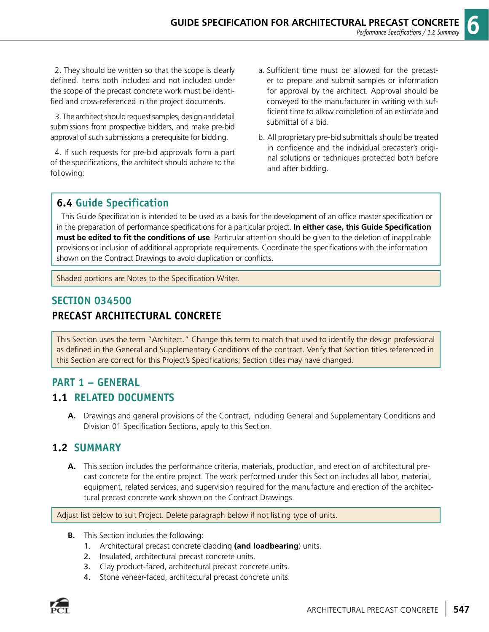2. They should be written so that the scope is clearly defined. Items both included and not included under the scope of the precast concrete work must be identified and cross-referenced in the project documents.

3. The architect should request samples, design and detail submissions from prospective bidders, and make pre-bid approval of such submissions a prerequisite for bidding.

4. If such requests for pre-bid approvals form a part of the specifications, the architect should adhere to the following:

- a. Sufficient time must be allowed for the precaster to prepare and submit samples or information for approval by the architect. Approval should be conveyed to the manufacturer in writing with sufficient time to allow completion of an estimate and submittal of a bid.
- b. All proprietary pre-bid submittals should be treated in confidence and the individual precaster's original solutions or techniques protected both before and after bidding.

#### **6.4 Guide Specification**

This Guide Specification is intended to be used as a basis for the development of an office master specification or in the preparation of performance specifications for a particular project. **In either case, this Guide Specification must be edited to fit the conditions of use**. Particular attention should be given to the deletion of inapplicable provisions or inclusion of additional appropriate requirements. Coordinate the specifications with the information shown on the Contract Drawings to avoid duplication or conflicts.

Shaded portions are Notes to the Specification Writer.

## **SECTION 034500 PRECAST ARCHITECTURAL CONCRETE**

This Section uses the term "Architect." Change this term to match that used to identify the design professional as defined in the General and Supplementary Conditions of the contract. Verify that Section titles referenced in this Section are correct for this Project's Specifications; Section titles may have changed.

# **PART 1 – GENERAL**

#### **1.1 RELATED DOCUMENTS**

**A.** Drawings and general provisions of the Contract, including General and Supplementary Conditions and Division 01 Specification Sections, apply to this Section.

#### **1.2 SUMMARY**

**A.** This section includes the performance criteria, materials, production, and erection of architectural precast concrete for the entire project. The work performed under this Section includes all labor, material, equipment, related services, and supervision required for the manufacture and erection of the architectural precast concrete work shown on the Contract Drawings.

Adjust list below to suit Project. Delete paragraph below if not listing type of units.

- **B.** This Section includes the following:
	- 1. Architectural precast concrete cladding **(and loadbearing**) units.
	- 2. Insulated, architectural precast concrete units.
	- 3. Clay product-faced, architectural precast concrete units.
	- 4. Stone veneer-faced, architectural precast concrete units.

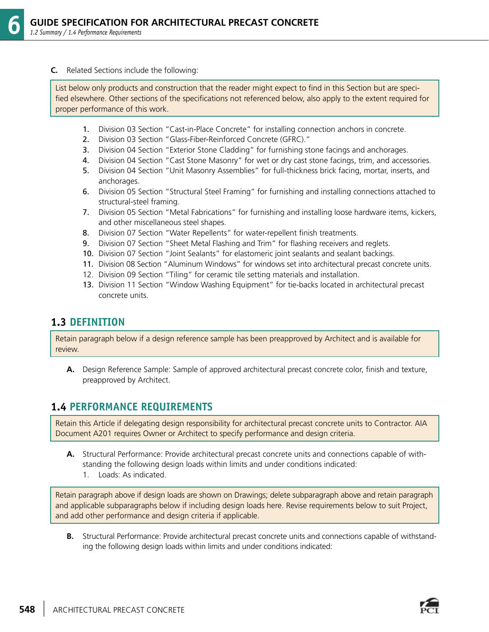#### **C.** Related Sections include the following:

List below only products and construction that the reader might expect to find in this Section but are specified elsewhere. Other sections of the specifications not referenced below, also apply to the extent required for proper performance of this work.

- 1. Division 03 Section "Cast-in-Place Concrete" for installing connection anchors in concrete.
- 2. Division 03 Section "Glass-Fiber-Reinforced Concrete (GFRC)."
- 3. Division 04 Section "Exterior Stone Cladding" for furnishing stone facings and anchorages.
- 4. Division 04 Section "Cast Stone Masonry" for wet or dry cast stone facings, trim, and accessories.
- 5. Division 04 Section "Unit Masonry Assemblies" for full-thickness brick facing, mortar, inserts, and anchorages.
- 6. Division 05 Section "Structural Steel Framing" for furnishing and installing connections attached to structural-steel framing.
- 7. Division 05 Section "Metal Fabrications" for furnishing and installing loose hardware items, kickers, and other miscellaneous steel shapes.
- 8. Division 07 Section "Water Repellents" for water-repellent finish treatments.
- 9. Division 07 Section "Sheet Metal Flashing and Trim" for flashing receivers and reglets.
- 10. Division 07 Section "Joint Sealants" for elastomeric joint sealants and sealant backings.
- 11. Division 08 Section "Aluminum Windows" for windows set into architectural precast concrete units.
- 12. Division 09 Section "Tiling" for ceramic tile setting materials and installation.
- 13. Division 11 Section "Window Washing Equipment" for tie-backs located in architectural precast concrete units.

#### **1.3 DEFINITION**

Retain paragraph below if a design reference sample has been preapproved by Architect and is available for review.

**A.** Design Reference Sample: Sample of approved architectural precast concrete color, finish and texture, preapproved by Architect.

#### **1.4 PERFORMANCE REQUIREMENTS**

Retain this Article if delegating design responsibility for architectural precast concrete units to Contractor. AIA Document A201 requires Owner or Architect to specify performance and design criteria.

- **A.** Structural Performance: Provide architectural precast concrete units and connections capable of withstanding the following design loads within limits and under conditions indicated:
	- 1. Loads: As indicated.

Retain paragraph above if design loads are shown on Drawings; delete subparagraph above and retain paragraph and applicable subparagraphs below if including design loads here. Revise requirements below to suit Project, and add other performance and design criteria if applicable.

**B.** Structural Performance: Provide architectural precast concrete units and connections capable of withstanding the following design loads within limits and under conditions indicated: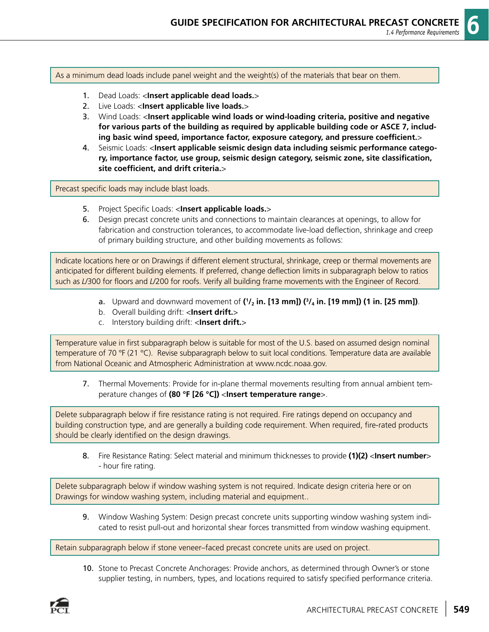As a minimum dead loads include panel weight and the weight(s) of the materials that bear on them.

- 1. Dead Loads: <**Insert applicable dead loads.**>
- 2. Live Loads: <**Insert applicable live loads.**>
- 3. Wind Loads: <**Insert applicable wind loads or wind-loading criteria, positive and negative for various parts of the building as required by applicable building code or ASCE 7, including basic wind speed, importance factor, exposure category, and pressure coefficient.**>
- 4. Seismic Loads: <**Insert applicable seismic design data including seismic performance category, importance factor, use group, seismic design category, seismic zone, site classification, site coefficient, and drift criteria.**>

Precast specific loads may include blast loads.

- 5. Project Specific Loads: <**Insert applicable loads.**>
- 6. Design precast concrete units and connections to maintain clearances at openings, to allow for fabrication and construction tolerances, to accommodate live-load deflection, shrinkage and creep of primary building structure, and other building movements as follows:

Indicate locations here or on Drawings if different element structural, shrinkage, creep or thermal movements are anticipated for different building elements. If preferred, change deflection limits in subparagraph below to ratios such as *L*/300 for floors and *L*/200 for roofs. Verify all building frame movements with the Engineer of Record.

- **a**. Upward and downward movement of  $('/2)$  in. [13 mm])  $(^3/4)$  in. [19 mm]) (1 in. [25 mm]).
	- b. Overall building drift: <**Insert drift.**>
	- c. Interstory building drift: <**Insert drift.**>

Temperature value in first subparagraph below is suitable for most of the U.S. based on assumed design nominal temperature of 70 °F (21 °C). Revise subparagraph below to suit local conditions. Temperature data are available from National Oceanic and Atmospheric Administration at www.ncdc.noaa.gov.

 7. Thermal Movements: Provide for in-plane thermal movements resulting from annual ambient temperature changes of **(80 °F [26 °C])** <**Insert temperature range**>.

Delete subparagraph below if fire resistance rating is not required. Fire ratings depend on occupancy and building construction type, and are generally a building code requirement. When required, fire-rated products should be clearly identified on the design drawings.

 8. Fire Resistance Rating: Select material and minimum thicknesses to provide **(1)(2)** <**Insert number**> - hour fire rating.

Delete subparagraph below if window washing system is not required. Indicate design criteria here or on Drawings for window washing system, including material and equipment..

 9. Window Washing System: Design precast concrete units supporting window washing system indicated to resist pull-out and horizontal shear forces transmitted from window washing equipment.

Retain subparagraph below if stone veneer–faced precast concrete units are used on project.

 10. Stone to Precast Concrete Anchorages: Provide anchors, as determined through Owner's or stone supplier testing, in numbers, types, and locations required to satisfy specified performance criteria.

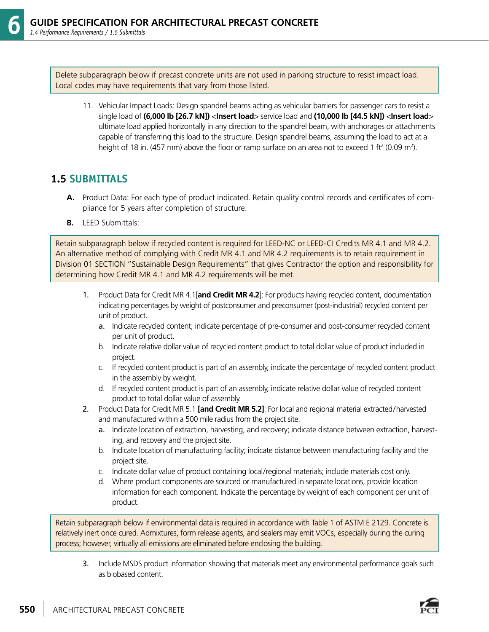Delete subparagraph below if precast concrete units are not used in parking structure to resist impact load. Local codes may have requirements that vary from those listed.

 11. Vehicular Impact Loads: Design spandrel beams acting as vehicular barriers for passenger cars to resist a single load of **(6,000 lb [26.7 kN])** <**Insert load**> service load and **(10,000 lb [44.5 kN])** <**Insert load**> ultimate load applied horizontally in any direction to the spandrel beam, with anchorages or attachments capable of transferring this load to the structure. Design spandrel beams, assuming the load to act at a height of 18 in. (457 mm) above the floor or ramp surface on an area not to exceed 1 ft<sup>2</sup> (0.09 m<sup>2</sup>).

#### **1.5 SUBMITTALS**

- **A.** Product Data: For each type of product indicated. Retain quality control records and certificates of compliance for 5 years after completion of structure.
- **B.** LEED Submittals:

Retain subparagraph below if recycled content is required for LEED-NC or LEED-CI Credits MR 4.1 and MR 4.2. An alternative method of complying with Credit MR 4.1 and MR 4.2 requirements is to retain requirement in Division 01 SECTION "Sustainable Design Requirements" that gives Contractor the option and responsibility for determining how Credit MR 4.1 and MR 4.2 requirements will be met.

- 1. Product Data for Credit MR 4.1[**and Credit MR 4.2**]: For products having recycled content, documentation indicating percentages by weight of postconsumer and preconsumer (post-industrial) recycled content per unit of product.
	- a. Indicate recycled content; indicate percentage of pre-consumer and post-consumer recycled content per unit of product.
	- b. Indicate relative dollar value of recycled content product to total dollar value of product included in project.
	- c. If recycled content product is part of an assembly, indicate the percentage of recycled content product in the assembly by weight.
	- d. If recycled content product is part of an assembly, indicate relative dollar value of recycled content product to total dollar value of assembly.
- 2. Product Data for Credit MR 5.1 **[and Credit MR 5.2]**: For local and regional material extracted/harvested and manufactured within a 500 mile radius from the project site.
	- a. Indicate location of extraction, harvesting, and recovery; indicate distance between extraction, harvesting, and recovery and the project site.
	- b. Indicate location of manufacturing facility; indicate distance between manufacturing facility and the project site.
	- c. Indicate dollar value of product containing local/regional materials; include materials cost only.
	- d. Where product components are sourced or manufactured in separate locations, provide location information for each component. Indicate the percentage by weight of each component per unit of product.

Retain subparagraph below if environmental data is required in accordance with Table 1 of ASTM E 2129. Concrete is relatively inert once cured. Admixtures, form release agents, and sealers may emit VOCs, especially during the curing process; however, virtually all emissions are eliminated before enclosing the building.

 3. Include MSDS product information showing that materials meet any environmental performance goals such as biobased content.

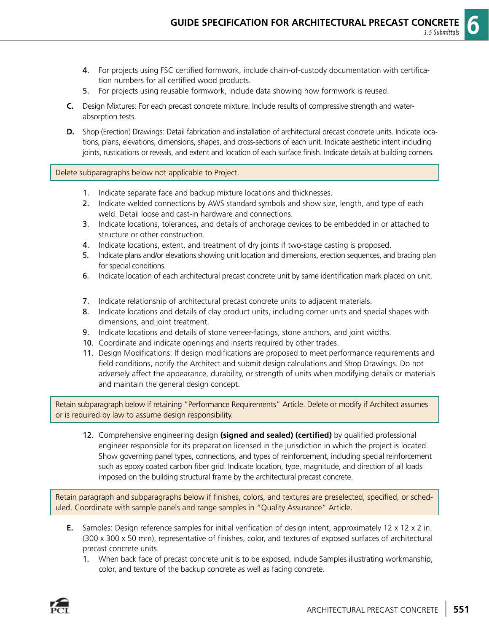- 4. For projects using FSC certified formwork, include chain-of-custody documentation with certification numbers for all certified wood products.
- 5. For projects using reusable formwork, include data showing how formwork is reused.
- **C.** Design Mixtures: For each precast concrete mixture. Include results of compressive strength and waterabsorption tests.
- **D.** Shop (Erection) Drawings: Detail fabrication and installation of architectural precast concrete units. Indicate locations, plans, elevations, dimensions, shapes, and cross-sections of each unit. Indicate aesthetic intent including joints, rustications or reveals, and extent and location of each surface finish. Indicate details at building corners.

#### Delete subparagraphs below not applicable to Project.

- 1. Indicate separate face and backup mixture locations and thicknesses.
- 2. Indicate welded connections by AWS standard symbols and show size, length, and type of each weld. Detail loose and cast-in hardware and connections.
- 3. Indicate locations, tolerances, and details of anchorage devices to be embedded in or attached to structure or other construction.
- 4. Indicate locations, extent, and treatment of dry joints if two-stage casting is proposed.
- 5. Indicate plans and/or elevations showing unit location and dimensions, erection sequences, and bracing plan for special conditions.
- 6. Indicate location of each architectural precast concrete unit by same identification mark placed on unit.
- 7. Indicate relationship of architectural precast concrete units to adjacent materials.
- 8. Indicate locations and details of clay product units, including corner units and special shapes with dimensions, and joint treatment.
- 9. Indicate locations and details of stone veneer-facings, stone anchors, and joint widths.
- 10. Coordinate and indicate openings and inserts required by other trades.
- 11. Design Modifications: If design modifications are proposed to meet performance requirements and field conditions, notify the Architect and submit design calculations and Shop Drawings. Do not adversely affect the appearance, durability, or strength of units when modifying details or materials and maintain the general design concept.

Retain subparagraph below if retaining "Performance Requirements" Article. Delete or modify if Architect assumes or is required by law to assume design responsibility.

 12. Comprehensive engineering design **(signed and sealed) (certified)** by qualified professional engineer responsible for its preparation licensed in the jurisdiction in which the project is located. Show governing panel types, connections, and types of reinforcement, including special reinforcement such as epoxy coated carbon fiber grid. Indicate location, type, magnitude, and direction of all loads imposed on the building structural frame by the architectural precast concrete.

Retain paragraph and subparagraphs below if finishes, colors, and textures are preselected, specified, or scheduled. Coordinate with sample panels and range samples in "Quality Assurance" Article.

- **E.** Samples: Design reference samples for initial verification of design intent, approximately 12 x 12 x 2 in. (300 x 300 x 50 mm), representative of finishes, color, and textures of exposed surfaces of architectural precast concrete units.
	- 1. When back face of precast concrete unit is to be exposed, include Samples illustrating workmanship, color, and texture of the backup concrete as well as facing concrete.

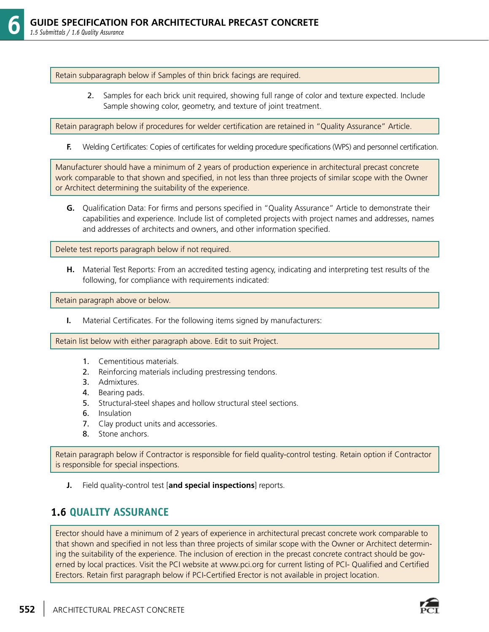Retain subparagraph below if Samples of thin brick facings are required.

 2. Samples for each brick unit required, showing full range of color and texture expected. Include Sample showing color, geometry, and texture of joint treatment.

Retain paragraph below if procedures for welder certification are retained in "Quality Assurance" Article.

**F.** Welding Certificates: Copies of certificates for welding procedure specifications (WPS) and personnel certification.

Manufacturer should have a minimum of 2 years of production experience in architectural precast concrete work comparable to that shown and specified, in not less than three projects of similar scope with the Owner or Architect determining the suitability of the experience.

**G.** Qualification Data: For firms and persons specified in "Quality Assurance" Article to demonstrate their capabilities and experience. Include list of completed projects with project names and addresses, names and addresses of architects and owners, and other information specified.

Delete test reports paragraph below if not required.

**H.** Material Test Reports: From an accredited testing agency, indicating and interpreting test results of the following, for compliance with requirements indicated:

Retain paragraph above or below.

**I.** Material Certificates. For the following items signed by manufacturers:

Retain list below with either paragraph above. Edit to suit Project.

- 1. Cementitious materials.
- 2. Reinforcing materials including prestressing tendons.
- 3. Admixtures.
- 4. Bearing pads.
- 5. Structural-steel shapes and hollow structural steel sections.
- 6. Insulation
- 7. Clay product units and accessories.
- 8. Stone anchors.

Retain paragraph below if Contractor is responsible for field quality-control testing. Retain option if Contractor is responsible for special inspections.

**J.** Field quality-control test [**and special inspections**] reports.

#### **1.6 QUALITY ASSURANCE**

Erector should have a minimum of 2 years of experience in architectural precast concrete work comparable to that shown and specified in not less than three projects of similar scope with the Owner or Architect determining the suitability of the experience. The inclusion of erection in the precast concrete contract should be governed by local practices. Visit the PCI website at www.pci.org for current listing of PCI- Qualified and Certified Erectors. Retain first paragraph below if PCI-Certified Erector is not available in project location.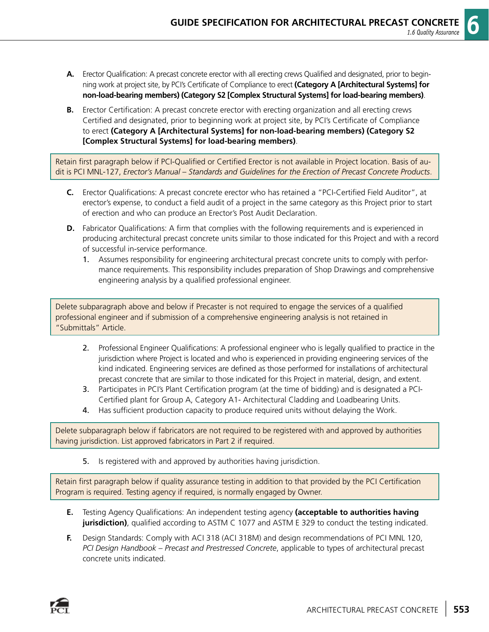- **A.** Erector Qualification: A precast concrete erector with all erecting crews Qualified and designated, prior to beginning work at project site, by PCI's Certificate of Compliance to erect **(Category A [Architectural Systems] for non-load-bearing members) (Category S2 [Complex Structural Systems] for load-bearing members)**.
- **B.** Erector Certification: A precast concrete erector with erecting organization and all erecting crews Certified and designated, prior to beginning work at project site, by PCI's Certificate of Compliance to erect **(Category A [Architectural Systems] for non-load-bearing members) (Category S2 [Complex Structural Systems] for load-bearing members)**.

Retain first paragraph below if PCI-Qualified or Certified Erector is not available in Project location. Basis of audit is PCI MNL-127, *Erector's Manual – Standards and Guidelines for the Erection of Precast Concrete Products*.

- **C.** Erector Qualifications: A precast concrete erector who has retained a "PCI-Certified Field Auditor", at erector's expense, to conduct a field audit of a project in the same category as this Project prior to start of erection and who can produce an Erector's Post Audit Declaration.
- **D.** Fabricator Qualifications: A firm that complies with the following requirements and is experienced in producing architectural precast concrete units similar to those indicated for this Project and with a record of successful in-service performance.
	- 1. Assumes responsibility for engineering architectural precast concrete units to comply with performance requirements. This responsibility includes preparation of Shop Drawings and comprehensive engineering analysis by a qualified professional engineer.

Delete subparagraph above and below if Precaster is not required to engage the services of a qualified professional engineer and if submission of a comprehensive engineering analysis is not retained in "Submittals" Article.

- 2. Professional Engineer Qualifications: A professional engineer who is legally qualified to practice in the jurisdiction where Project is located and who is experienced in providing engineering services of the kind indicated. Engineering services are defined as those performed for installations of architectural precast concrete that are similar to those indicated for this Project in material, design, and extent.
- 3. Participates in PCI's Plant Certification program (at the time of bidding) and is designated a PCI-Certified plant for Group A, Category A1- Architectural Cladding and Loadbearing Units.
- 4. Has sufficient production capacity to produce required units without delaying the Work.

Delete subparagraph below if fabricators are not required to be registered with and approved by authorities having jurisdiction. List approved fabricators in Part 2 if required.

5. Is registered with and approved by authorities having jurisdiction.

Retain first paragraph below if quality assurance testing in addition to that provided by the PCI Certification Program is required. Testing agency if required, is normally engaged by Owner.

- **E.** Testing Agency Qualifications: An independent testing agency **(acceptable to authorities having jurisdiction)**, qualified according to ASTM C 1077 and ASTM E 329 to conduct the testing indicated.
- **F.** Design Standards: Comply with ACI 318 (ACI 318M) and design recommendations of PCI MNL 120, *PCI Design Handbook – Precast and Prestressed Concrete*, applicable to types of architectural precast concrete units indicated.

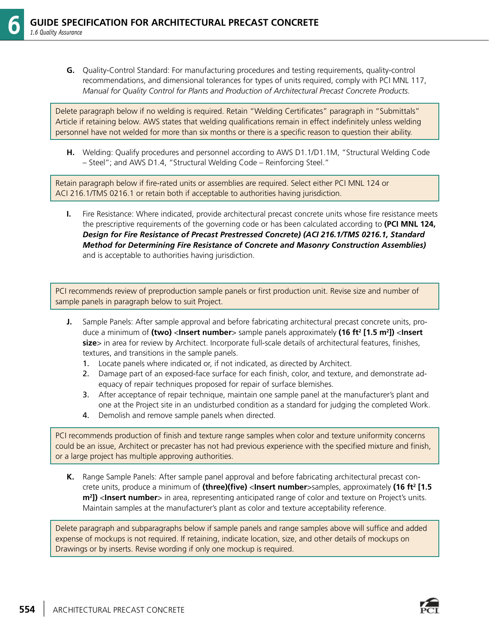**G.** Quality-Control Standard: For manufacturing procedures and testing requirements, quality-control recommendations, and dimensional tolerances for types of units required, comply with PCI MNL 117, *Manual for Quality Control for Plants and Production of Architectural Precast Concrete Products.*

Delete paragraph below if no welding is required. Retain "Welding Certificates" paragraph in "Submittals" Article if retaining below. AWS states that welding qualifications remain in effect indefinitely unless welding personnel have not welded for more than six months or there is a specific reason to question their ability.

**H.** Welding: Qualify procedures and personnel according to AWS D1.1/D1.1M, "Structural Welding Code – Steel"; and AWS D1.4, "Structural Welding Code – Reinforcing Steel."

Retain paragraph below if fire-rated units or assemblies are required. Select either PCI MNL 124 or ACI 216.1/TMS 0216.1 or retain both if acceptable to authorities having jurisdiction.

**I.** Fire Resistance: Where indicated, provide architectural precast concrete units whose fire resistance meets the prescriptive requirements of the governing code or has been calculated according to **(PCI MNL 124,** *Design for Fire Resistance of Precast Prestressed Concrete) (ACI 216.1/TMS 0216.1, Standard Method for Determining Fire Resistance of Concrete and Masonry Construction Assemblies)* and is acceptable to authorities having jurisdiction.

PCI recommends review of preproduction sample panels or first production unit. Revise size and number of sample panels in paragraph below to suit Project.

- **J.** Sample Panels: After sample approval and before fabricating architectural precast concrete units, produce a minimum of **(two)** <**Insert number**> sample panels approximately **(16 ft2 [1.5 m2 ])** <**Insert size**> in area for review by Architect. Incorporate full-scale details of architectural features, finishes, textures, and transitions in the sample panels.
	- 1. Locate panels where indicated or, if not indicated, as directed by Architect.
	- 2. Damage part of an exposed-face surface for each finish, color, and texture, and demonstrate adequacy of repair techniques proposed for repair of surface blemishes.
	- 3. After acceptance of repair technique, maintain one sample panel at the manufacturer's plant and one at the Project site in an undisturbed condition as a standard for judging the completed Work.
	- 4. Demolish and remove sample panels when directed.

PCI recommends production of finish and texture range samples when color and texture uniformity concerns could be an issue, Architect or precaster has not had previous experience with the specified mixture and finish, or a large project has multiple approving authorities.

**K.** Range Sample Panels: After sample panel approval and before fabricating architectural precast concrete units, produce a minimum of **(three)(five)** <**Insert number**>samples, approximately **(16 ft2 [1.5 m2 ])** <**Insert number**> in area, representing anticipated range of color and texture on Project's units. Maintain samples at the manufacturer's plant as color and texture acceptability reference.

Delete paragraph and subparagraphs below if sample panels and range samples above will suffice and added expense of mockups is not required. If retaining, indicate location, size, and other details of mockups on Drawings or by inserts. Revise wording if only one mockup is required.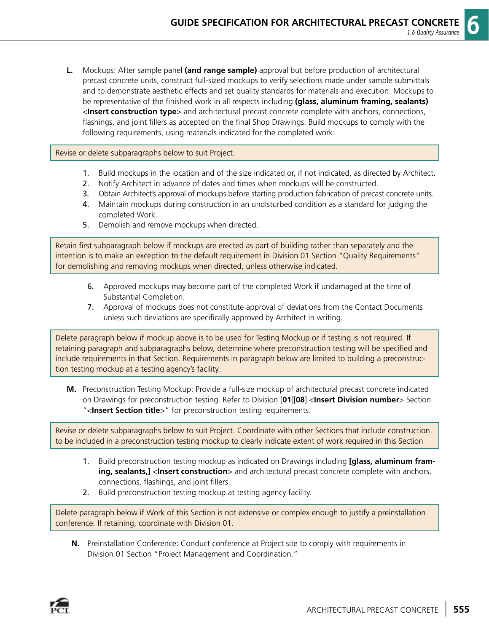**L.** Mockups: After sample panel **(and range sample)** approval but before production of architectural precast concrete units, construct full-sized mockups to verify selections made under sample submittals and to demonstrate aesthetic effects and set quality standards for materials and execution. Mockups to be representative of the finished work in all respects including **(glass, aluminum framing, sealants)** <**Insert construction type**> and architectural precast concrete complete with anchors, connections, flashings, and joint fillers as accepted on the final Shop Drawings. Build mockups to comply with the following requirements, using materials indicated for the completed work:

#### Revise or delete subparagraphs below to suit Project.

- 1. Build mockups in the location and of the size indicated or, if not indicated, as directed by Architect.
- 2. Notify Architect in advance of dates and times when mockups will be constructed.
- 3. Obtain Architect's approval of mockups before starting production fabrication of precast concrete units.
- 4. Maintain mockups during construction in an undisturbed condition as a standard for judging the completed Work.
- 5. Demolish and remove mockups when directed.

Retain first subparagraph below if mockups are erected as part of building rather than separately and the intention is to make an exception to the default requirement in Division 01 Section "Quality Requirements" for demolishing and removing mockups when directed, unless otherwise indicated.

- 6. Approved mockups may become part of the completed Work if undamaged at the time of Substantial Completion.
- 7. Approval of mockups does not constitute approval of deviations from the Contact Documents unless such deviations are specifically approved by Architect in writing.

Delete paragraph below if mockup above is to be used for Testing Mockup or if testing is not required. If retaining paragraph and subparagraphs below, determine where preconstruction testing will be specified and include requirements in that Section. Requirements in paragraph below are limited to building a preconstruction testing mockup at a testing agency's facility.

**M.** Preconstruction Testing Mockup: Provide a full-size mockup of architectural precast concrete indicated on Drawings for preconstruction testing. Refer to Division [**01**][**08**] <**Insert Division number**> Section "<**Insert Section title**>" for preconstruction testing requirements.

Revise or delete subparagraphs below to suit Project. Coordinate with other Sections that include construction to be included in a preconstruction testing mockup to clearly indicate extent of work required in this Section

- 1. Build preconstruction testing mockup as indicated on Drawings including **[glass, aluminum framing, sealants,]** <**Insert construction**> and architectural precast concrete complete with anchors, connections, flashings, and joint fillers.
- 2. Build preconstruction testing mockup at testing agency facility.

Delete paragraph below if Work of this Section is not extensive or complex enough to justify a preinstallation conference. If retaining, coordinate with Division 01.

**N.** Preinstallation Conference: Conduct conference at Project site to comply with requirements in Division 01 Section "Project Management and Coordination."

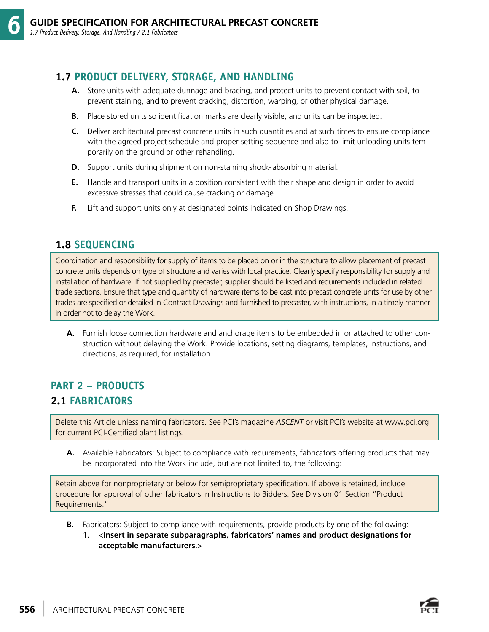#### **1.7 PRODUCT DELIVERY, STORAGE, AND HANDLING**

- **A.** Store units with adequate dunnage and bracing, and protect units to prevent contact with soil, to prevent staining, and to prevent cracking, distortion, warping, or other physical damage.
- **B.** Place stored units so identification marks are clearly visible, and units can be inspected.
- **C.** Deliver architectural precast concrete units in such quantities and at such times to ensure compliance with the agreed project schedule and proper setting sequence and also to limit unloading units temporarily on the ground or other rehandling.
- **D.** Support units during shipment on non-staining shock-absorbing material.
- **E.** Handle and transport units in a position consistent with their shape and design in order to avoid excessive stresses that could cause cracking or damage.
- **F.** Lift and support units only at designated points indicated on Shop Drawings.

#### **1.8 SEQUENCING**

Coordination and responsibility for supply of items to be placed on or in the structure to allow placement of precast concrete units depends on type of structure and varies with local practice. Clearly specify responsibility for supply and installation of hardware. If not supplied by precaster, supplier should be listed and requirements included in related trade sections. Ensure that type and quantity of hardware items to be cast into precast concrete units for use by other trades are specified or detailed in Contract Drawings and furnished to precaster, with instructions, in a timely manner in order not to delay the Work.

**A.** Furnish loose connection hardware and anchorage items to be embedded in or attached to other construction without delaying the Work. Provide locations, setting diagrams, templates, instructions, and directions, as required, for installation.

## **PART 2 – PRODUCTS 2.1 FABRICATORS**

Delete this Article unless naming fabricators. See PCI's magazine *ASCENT* or visit PCI's website at www.pci.org for current PCI-Certified plant listings.

**A.** Available Fabricators: Subject to compliance with requirements, fabricators offering products that may be incorporated into the Work include, but are not limited to, the following:

Retain above for nonproprietary or below for semiproprietary specification. If above is retained, include procedure for approval of other fabricators in Instructions to Bidders. See Division 01 Section "Product Requirements."

- **B.** Fabricators: Subject to compliance with requirements, provide products by one of the following:
	- 1. <**Insert in separate subparagraphs, fabricators' names and product designations for acceptable manufacturers.**>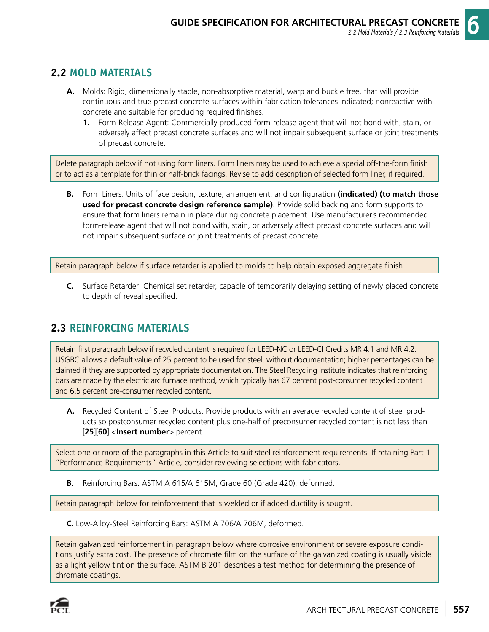#### **2.2 MOLD MATERIALS**

- **A.** Molds: Rigid, dimensionally stable, non-absorptive material, warp and buckle free, that will provide continuous and true precast concrete surfaces within fabrication tolerances indicated; nonreactive with concrete and suitable for producing required finishes.
	- 1. Form-Release Agent: Commercially produced form-release agent that will not bond with, stain, or adversely affect precast concrete surfaces and will not impair subsequent surface or joint treatments of precast concrete.

Delete paragraph below if not using form liners. Form liners may be used to achieve a special off-the-form finish or to act as a template for thin or half-brick facings. Revise to add description of selected form liner, if required.

**B.** Form Liners: Units of face design, texture, arrangement, and configuration **(indicated) (to match those used for precast concrete design reference sample)**. Provide solid backing and form supports to ensure that form liners remain in place during concrete placement. Use manufacturer's recommended form-release agent that will not bond with, stain, or adversely affect precast concrete surfaces and will not impair subsequent surface or joint treatments of precast concrete.

Retain paragraph below if surface retarder is applied to molds to help obtain exposed aggregate finish.

**C.** Surface Retarder: Chemical set retarder, capable of temporarily delaying setting of newly placed concrete to depth of reveal specified.

#### **2.3 REINFORCING MATERIALS**

Retain first paragraph below if recycled content is required for LEED-NC or LEED-CI Credits MR 4.1 and MR 4.2. USGBC allows a default value of 25 percent to be used for steel, without documentation; higher percentages can be claimed if they are supported by appropriate documentation. The Steel Recycling Institute indicates that reinforcing bars are made by the electric arc furnace method, which typically has 67 percent post-consumer recycled content and 6.5 percent pre-consumer recycled content.

**A.** Recycled Content of Steel Products: Provide products with an average recycled content of steel products so postconsumer recycled content plus one-half of preconsumer recycled content is not less than [**25**][**60**] <**Insert number**> percent.

Select one or more of the paragraphs in this Article to suit steel reinforcement requirements. If retaining Part 1 "Performance Requirements" Article, consider reviewing selections with fabricators.

**B.** Reinforcing Bars: ASTM A 615/A 615M, Grade 60 (Grade 420), deformed.

Retain paragraph below for reinforcement that is welded or if added ductility is sought.

**C.** Low-Alloy-Steel Reinforcing Bars: ASTM A 706/A 706M, deformed.

Retain galvanized reinforcement in paragraph below where corrosive environment or severe exposure conditions justify extra cost. The presence of chromate film on the surface of the galvanized coating is usually visible as a light yellow tint on the surface. ASTM B 201 describes a test method for determining the presence of chromate coatings.

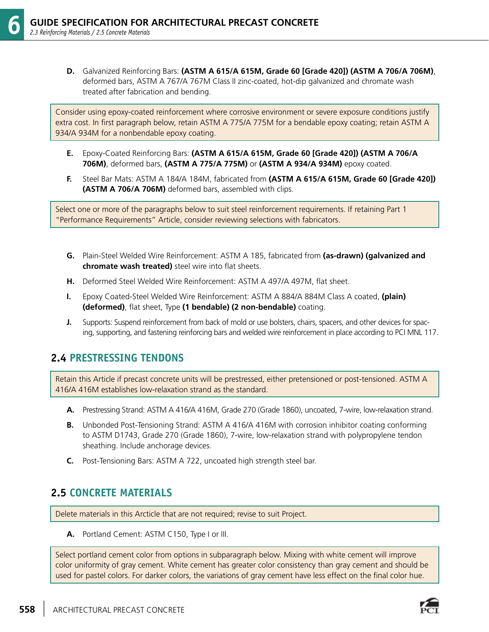**D.** Galvanized Reinforcing Bars: **(ASTM A 615/A 615M, Grade 60 [Grade 420]) (ASTM A 706/A 706M)**, deformed bars, ASTM A 767/A 767M Class II zinc-coated, hot-dip galvanized and chromate wash treated after fabrication and bending.

Consider using epoxy-coated reinforcement where corrosive environment or severe exposure conditions justify extra cost. In first paragraph below, retain ASTM A 775/A 775M for a bendable epoxy coating; retain ASTM A 934/A 934M for a nonbendable epoxy coating.

- **E.** Epoxy-Coated Reinforcing Bars: **(ASTM A 615/A 615M, Grade 60 [Grade 420]) (ASTM A 706/A 706M)**, deformed bars, **(ASTM A 775/A 775M)** or **(ASTM A 934/A 934M)** epoxy coated.
- **F.** Steel Bar Mats: ASTM A 184/A 184M, fabricated from **(ASTM A 615/A 615M, Grade 60 [Grade 420]) (ASTM A 706/A 706M)** deformed bars, assembled with clips.

Select one or more of the paragraphs below to suit steel reinforcement requirements. If retaining Part 1 "Performance Requirements" Article, consider reviewing selections with fabricators.

- **G.** Plain-Steel Welded Wire Reinforcement: ASTM A 185, fabricated from **(as-drawn) (galvanized and chromate wash treated)** steel wire into flat sheets.
- **H.** Deformed Steel Welded Wire Reinforcement: ASTM A 497/A 497M, flat sheet.
- **I.** Epoxy Coated-Steel Welded Wire Reinforcement: ASTM A 884/A 884M Class A coated, **(plain) (deformed)**, flat sheet, Type **(1 bendable) (2 non-bendable)** coating.
- **J.** Supports: Suspend reinforcement from back of mold or use bolsters, chairs, spacers, and other devices for spacing, supporting, and fastening reinforcing bars and welded wire reinforcement in place according to PCI MNL 117.

#### **2.4 PRESTRESSING TENDONS**

Retain this Article if precast concrete units will be prestressed, either pretensioned or post-tensioned. ASTM A 416/A 416M establishes low-relaxation strand as the standard.

- **A.** Prestressing Strand: ASTM A 416/A 416M, Grade 270 (Grade 1860), uncoated, 7-wire, low-relaxation strand.
- **B.** Unbonded Post-Tensioning Strand: ASTM A 416/A 416M with corrosion inhibitor coating conforming to ASTM D1743, Grade 270 (Grade 1860), 7-wire, low-relaxation strand with polypropylene tendon sheathing. Include anchorage devices.
- **C.** Post-Tensioning Bars: ASTM A 722, uncoated high strength steel bar.

#### **2.5 CONCRETE MATERIALS**

Delete materials in this Arcticle that are not required; revise to suit Project.

**A.** Portland Cement: ASTM C150, Type I or III.

Select portland cement color from options in subparagraph below. Mixing with white cement will improve color uniformity of gray cement. White cement has greater color consistency than gray cement and should be used for pastel colors. For darker colors, the variations of gray cement have less effect on the final color hue.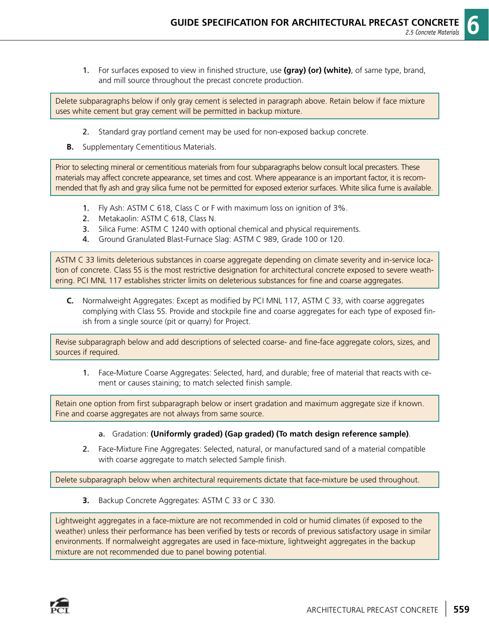1. For surfaces exposed to view in finished structure, use **(gray) (or) (white)**, of same type, brand, and mill source throughout the precast concrete production.

Delete subparagraphs below if only gray cement is selected in paragraph above. Retain below if face mixture uses white cement but gray cement will be permitted in backup mixture.

- 2. Standard gray portland cement may be used for non-exposed backup concrete.
- **B.** Supplementary Cementitious Materials.

Prior to selecting mineral or cementitious materials from four subparagraphs below consult local precasters. These materials may affect concrete appearance, set times and cost. Where appearance is an important factor, it is recommended that fly ash and gray silica fume not be permitted for exposed exterior surfaces. White silica fume is available.

- 1. Fly Ash: ASTM C 618, Class C or F with maximum loss on ignition of 3%.
- 2. Metakaolin: ASTM C 618, Class N.
- 3. Silica Fume: ASTM C 1240 with optional chemical and physical requirements.
- 4. Ground Granulated Blast-Furnace Slag: ASTM C 989, Grade 100 or 120.

ASTM C 33 limits deleterious substances in coarse aggregate depending on climate severity and in-service location of concrete. Class 5S is the most restrictive designation for architectural concrete exposed to severe weathering. PCI MNL 117 establishes stricter limits on deleterious substances for fine and coarse aggregates.

**C.** Normalweight Aggregates: Except as modified by PCI MNL 117, ASTM C 33, with coarse aggregates complying with Class 5S. Provide and stockpile fine and coarse aggregates for each type of exposed finish from a single source (pit or quarry) for Project.

Revise subparagraph below and add descriptions of selected coarse- and fine-face aggregate colors, sizes, and sources if required.

 1. Face-Mixture Coarse Aggregates: Selected, hard, and durable; free of material that reacts with cement or causes staining; to match selected finish sample.

Retain one option from first subparagraph below or insert gradation and maximum aggregate size if known. Fine and coarse aggregates are not always from same source.

- a. Gradation: **(Uniformly graded) (Gap graded) (To match design reference sample)**.
- 2. Face-Mixture Fine Aggregates: Selected, natural, or manufactured sand of a material compatible with coarse aggregate to match selected Sample finish.

Delete subparagraph below when architectural requirements dictate that face-mixture be used throughout.

**3.** Backup Concrete Aggregates: ASTM C 33 or C 330.

Lightweight aggregates in a face-mixture are not recommended in cold or humid climates (if exposed to the weather) unless their performance has been verified by tests or records of previous satisfactory usage in similar environments. If normalweight aggregates are used in face-mixture, lightweight aggregates in the backup mixture are not recommended due to panel bowing potential.

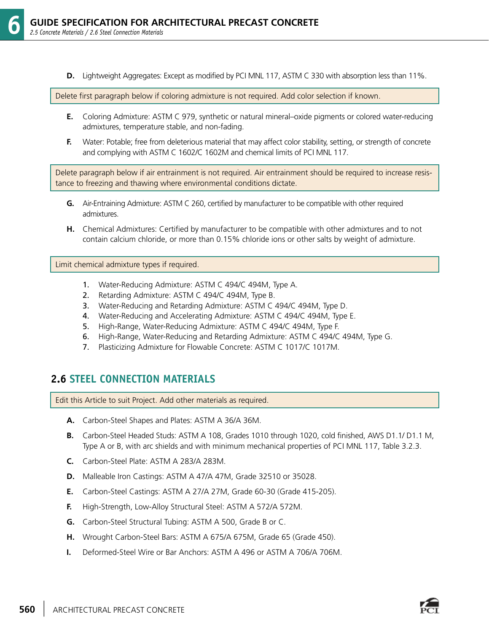**D.** Lightweight Aggregates: Except as modified by PCI MNL 117, ASTM C 330 with absorption less than 11%.

Delete first paragraph below if coloring admixture is not required. Add color selection if known.

- **E.** Coloring Admixture: ASTM C 979, synthetic or natural mineral–oxide pigments or colored water-reducing admixtures, temperature stable, and non-fading.
- **F.** Water: Potable; free from deleterious material that may affect color stability, setting, or strength of concrete and complying with ASTM C 1602/C 1602M and chemical limits of PCI MNL 117.

Delete paragraph below if air entrainment is not required. Air entrainment should be required to increase resistance to freezing and thawing where environmental conditions dictate.

- **G.** Air-Entraining Admixture: ASTM C 260, certified by manufacturer to be compatible with other required admixtures.
- **H.** Chemical Admixtures: Certified by manufacturer to be compatible with other admixtures and to not contain calcium chloride, or more than 0.15% chloride ions or other salts by weight of admixture.

Limit chemical admixture types if required.

- 1. Water-Reducing Admixture: ASTM C 494/C 494M, Type A.
- 2. Retarding Admixture: ASTM C 494/C 494M, Type B.
- 3. Water-Reducing and Retarding Admixture: ASTM C 494/C 494M, Type D.
- 4. Water-Reducing and Accelerating Admixture: ASTM C 494/C 494M, Type E.
- 5. High-Range, Water-Reducing Admixture: ASTM C 494/C 494M, Type F.
- 6. High-Range, Water-Reducing and Retarding Admixture: ASTM C 494/C 494M, Type G.
- 7. Plasticizing Admixture for Flowable Concrete: ASTM C 1017/C 1017M.

#### **2.6 STEEL CONNECTION MATERIALS**

Edit this Article to suit Project. Add other materials as required.

- **A.** Carbon-Steel Shapes and Plates: ASTM A 36/A 36M.
- **B.** Carbon-Steel Headed Studs: ASTM A 108, Grades 1010 through 1020, cold finished, AWS D1.1/ D1.1 M, Type A or B, with arc shields and with minimum mechanical properties of PCI MNL 117, Table 3.2.3.
- **C.** Carbon-Steel Plate: ASTM A 283/A 283M.
- **D.** Malleable Iron Castings: ASTM A 47/A 47M, Grade 32510 or 35028.
- **E.** Carbon-Steel Castings: ASTM A 27/A 27M, Grade 60-30 (Grade 415-205).
- **F.** High-Strength, Low-Alloy Structural Steel: ASTM A 572/A 572M.
- **G.** Carbon-Steel Structural Tubing: ASTM A 500, Grade B or C.
- **H.** Wrought Carbon-Steel Bars: ASTM A 675/A 675M, Grade 65 (Grade 450).
- **I.** Deformed-Steel Wire or Bar Anchors: ASTM A 496 or ASTM A 706/A 706M.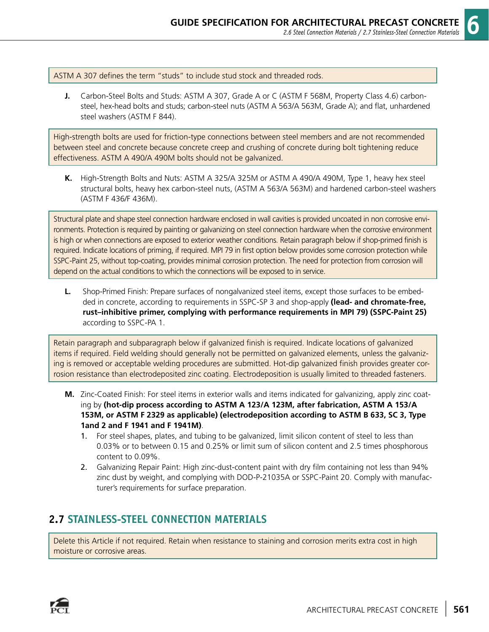ASTM A 307 defines the term "studs" to include stud stock and threaded rods.

**J.** Carbon-Steel Bolts and Studs: ASTM A 307, Grade A or C (ASTM F 568M, Property Class 4.6) carbonsteel, hex-head bolts and studs; carbon-steel nuts (ASTM A 563/A 563M, Grade A); and flat, unhardened steel washers (ASTM F 844).

High-strength bolts are used for friction-type connections between steel members and are not recommended between steel and concrete because concrete creep and crushing of concrete during bolt tightening reduce effectiveness. ASTM A 490/A 490M bolts should not be galvanized.

**K.** High-Strength Bolts and Nuts: ASTM A 325/A 325M or ASTM A 490/A 490M, Type 1, heavy hex steel structural bolts, heavy hex carbon-steel nuts, (ASTM A 563/A 563M) and hardened carbon-steel washers (ASTM F 436/F 436M).

Structural plate and shape steel connection hardware enclosed in wall cavities is provided uncoated in non corrosive environments. Protection is required by painting or galvanizing on steel connection hardware when the corrosive environment is high or when connections are exposed to exterior weather conditions. Retain paragraph below if shop-primed finish is required. Indicate locations of priming, if required. MPI 79 in first option below provides some corrosion protection while SSPC-Paint 25, without top-coating, provides minimal corrosion protection. The need for protection from corrosion will depend on the actual conditions to which the connections will be exposed to in service.

**L.** Shop-Primed Finish: Prepare surfaces of nongalvanized steel items, except those surfaces to be embedded in concrete, according to requirements in SSPC-SP 3 and shop-apply **(lead- and chromate-free, rust–inhibitive primer, complying with performance requirements in MPI 79) (SSPC-Paint 25)** according to SSPC-PA 1.

Retain paragraph and subparagraph below if galvanized finish is required. Indicate locations of galvanized items if required. Field welding should generally not be permitted on galvanized elements, unless the galvanizing is removed or acceptable welding procedures are submitted. Hot-dip galvanized finish provides greater corrosion resistance than electrodeposited zinc coating. Electrodeposition is usually limited to threaded fasteners.

- **M.** Zinc-Coated Finish: For steel items in exterior walls and items indicated for galvanizing, apply zinc coating by **(hot-dip process according to ASTM A 123/A 123M, after fabrication, ASTM A 153/A 153M, or ASTM F 2329 as applicable) (electrodeposition according to ASTM B 633, SC 3, Type 1and 2 and F 1941 and F 1941M)**.
	- 1. For steel shapes, plates, and tubing to be galvanized, limit silicon content of steel to less than 0.03% or to between 0.15 and 0.25% or limit sum of silicon content and 2.5 times phosphorous content to 0.09%.
	- 2. Galvanizing Repair Paint: High zinc-dust-content paint with dry film containing not less than 94% zinc dust by weight, and complying with DOD-P-21035A or SSPC-Paint 20. Comply with manufacturer's requirements for surface preparation.

## **2.7 STAINLESS-STEEL CONNECTION MATERIALS**

Delete this Article if not required. Retain when resistance to staining and corrosion merits extra cost in high moisture or corrosive areas.

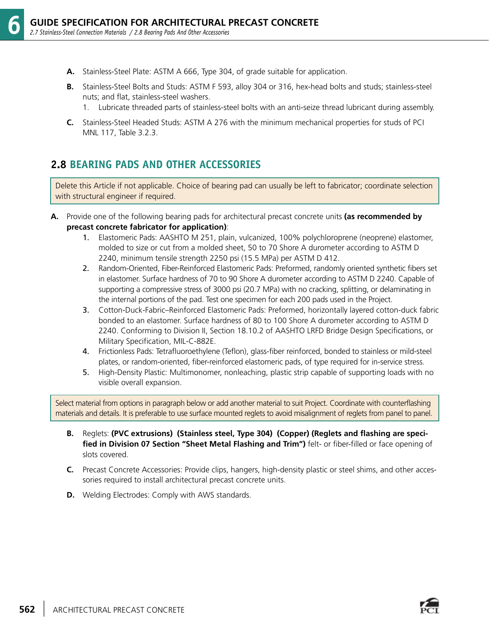- **A.** Stainless-Steel Plate: ASTM A 666, Type 304, of grade suitable for application.
- **B.** Stainless-Steel Bolts and Studs: ASTM F 593, alloy 304 or 316, hex-head bolts and studs; stainless-steel nuts; and flat, stainless-steel washers.
	- 1. Lubricate threaded parts of stainless-steel bolts with an anti-seize thread lubricant during assembly.
- **C.** Stainless-Steel Headed Studs: ASTM A 276 with the minimum mechanical properties for studs of PCI MNL 117, Table 3.2.3.

#### **2.8 BEARING PADS AND OTHER ACCESSORIES**

Delete this Article if not applicable. Choice of bearing pad can usually be left to fabricator; coordinate selection with structural engineer if required.

- **A.** Provide one of the following bearing pads for architectural precast concrete units **(as recommended by precast concrete fabricator for application)**:
	- 1. Elastomeric Pads: AASHTO M 251, plain, vulcanized, 100% polychloroprene (neoprene) elastomer, molded to size or cut from a molded sheet, 50 to 70 Shore A durometer according to ASTM D 2240, minimum tensile strength 2250 psi (15.5 MPa) per ASTM D 412.
	- 2. Random-Oriented, Fiber-Reinforced Elastomeric Pads: Preformed, randomly oriented synthetic fibers set in elastomer. Surface hardness of 70 to 90 Shore A durometer according to ASTM D 2240. Capable of supporting a compressive stress of 3000 psi (20.7 MPa) with no cracking, splitting, or delaminating in the internal portions of the pad. Test one specimen for each 200 pads used in the Project.
	- 3. Cotton-Duck-Fabric–Reinforced Elastomeric Pads: Preformed, horizontally layered cotton-duck fabric bonded to an elastomer. Surface hardness of 80 to 100 Shore A durometer according to ASTM D 2240. Conforming to Division II, Section 18.10.2 of AASHTO LRFD Bridge Design Specifications, or Military Specification, MIL-C-882E.
	- 4. Frictionless Pads: Tetrafluoroethylene (Teflon), glass-fiber reinforced, bonded to stainless or mild-steel plates, or random-oriented, fiber-reinforced elastomeric pads, of type required for in-service stress.
	- 5. High-Density Plastic: Multimonomer, nonleaching, plastic strip capable of supporting loads with no visible overall expansion.

Select material from options in paragraph below or add another material to suit Project. Coordinate with counterflashing materials and details. It is preferable to use surface mounted reglets to avoid misalignment of reglets from panel to panel.

- **B.** Reglets: **(PVC extrusions) (Stainless steel, Type 304) (Copper) (Reglets and flashing are specified in Division 07 Section "Sheet Metal Flashing and Trim")** felt- or fiber-filled or face opening of slots covered.
- **C.** Precast Concrete Accessories: Provide clips, hangers, high-density plastic or steel shims, and other accessories required to install architectural precast concrete units.
- **D.** Welding Electrodes: Comply with AWS standards.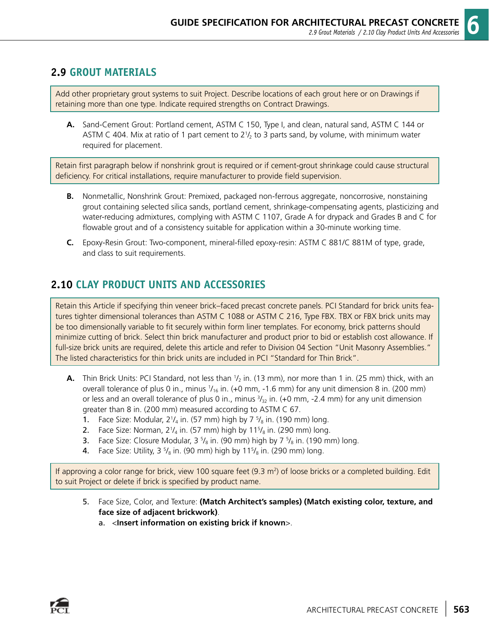#### **2.9 GROUT MATERIALS**

Add other proprietary grout systems to suit Project. Describe locations of each grout here or on Drawings if retaining more than one type. Indicate required strengths on Contract Drawings.

**A.** Sand-Cement Grout: Portland cement, ASTM C 150, Type I, and clean, natural sand, ASTM C 144 or ASTM C 404. Mix at ratio of 1 part cement to  $2\frac{1}{2}$  to 3 parts sand, by volume, with minimum water required for placement.

Retain first paragraph below if nonshrink grout is required or if cement-grout shrinkage could cause structural deficiency. For critical installations, require manufacturer to provide field supervision.

- **B.** Nonmetallic, Nonshrink Grout: Premixed, packaged non-ferrous aggregate, noncorrosive, nonstaining grout containing selected silica sands, portland cement, shrinkage-compensating agents, plasticizing and water-reducing admixtures, complying with ASTM C 1107, Grade A for drypack and Grades B and C for flowable grout and of a consistency suitable for application within a 30-minute working time.
- **C.** Epoxy-Resin Grout: Two-component, mineral-filled epoxy-resin: ASTM C 881/C 881M of type, grade, and class to suit requirements.

## **2.10 CLAY PRODUCT UNITS AND ACCESSORIES**

Retain this Article if specifying thin veneer brick–faced precast concrete panels. PCI Standard for brick units features tighter dimensional tolerances than ASTM C 1088 or ASTM C 216, Type FBX. TBX or FBX brick units may be too dimensionally variable to fit securely within form liner templates. For economy, brick patterns should minimize cutting of brick. Select thin brick manufacturer and product prior to bid or establish cost allowance. If full-size brick units are required, delete this article and refer to Division 04 Section "Unit Masonry Assemblies." The listed characteristics for thin brick units are included in PCI "Standard for Thin Brick".

- **A.** Thin Brick Units: PCI Standard, not less than  $1/2$  in. (13 mm), nor more than 1 in. (25 mm) thick, with an overall tolerance of plus 0 in., minus  $1/16$  in. (+0 mm, -1.6 mm) for any unit dimension 8 in. (200 mm) or less and an overall tolerance of plus 0 in., minus  $\frac{3}{2}$  in. (+0 mm, -2.4 mm) for any unit dimension greater than 8 in. (200 mm) measured according to ASTM C 67.
- **1.** Face Size: Modular,  $2\frac{1}{4}$  in. (57 mm) high by 7  $\frac{5}{8}$  in. (190 mm) long.
- 2. Face Size: Norman, 2 $\frac{1}{4}$  in. (57 mm) high by 11 $\frac{5}{8}$  in. (290 mm) long.
- **3.** Face Size: Closure Modular,  $3\frac{5}{8}$  in. (90 mm) high by  $7\frac{5}{8}$  in. (190 mm) long.
- **4**. Face Size: Utility, 3  $\frac{5}{8}$  in. (90 mm) high by 11 $\frac{5}{8}$  in. (290 mm) long.

If approving a color range for brick, view 100 square feet (9.3 m<sup>2</sup>) of loose bricks or a completed building. Edit to suit Project or delete if brick is specified by product name.

- 5. Face Size, Color, and Texture: **(Match Architect's samples) (Match existing color, texture, and face size of adjacent brickwork)**.
	- a. <**Insert information on existing brick if known**>.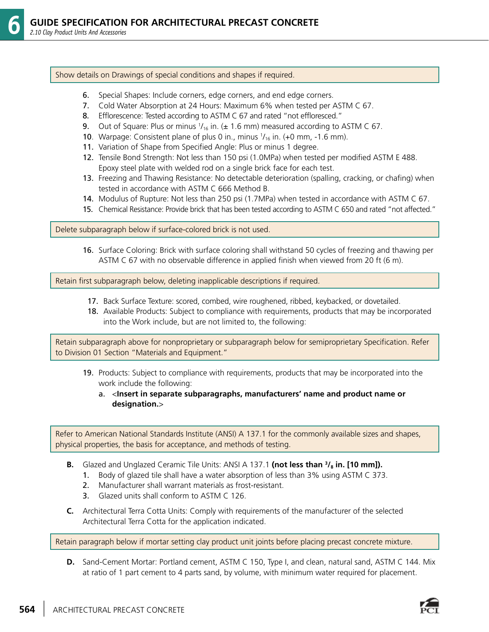#### Show details on Drawings of special conditions and shapes if required.

- 6. Special Shapes: Include corners, edge corners, and end edge corners.
- 7. Cold Water Absorption at 24 Hours: Maximum 6% when tested per ASTM C 67.
- 8. Efflorescence: Tested according to ASTM C 67 and rated "not effloresced."
- **9.** Out of Square: Plus or minus  $1/16$  in. ( $\pm$  1.6 mm) measured according to ASTM C 67.
- **10**. Warpage: Consistent plane of plus 0 in., minus  $1/16$  in. (+0 mm, -1.6 mm).
	- 11. Variation of Shape from Specified Angle: Plus or minus 1 degree.
	- 12. Tensile Bond Strength: Not less than 150 psi (1.0MPa) when tested per modified ASTM E 488. Epoxy steel plate with welded rod on a single brick face for each test.
	- 13. Freezing and Thawing Resistance: No detectable deterioration (spalling, cracking, or chafing) when tested in accordance with ASTM C 666 Method B.
	- 14. Modulus of Rupture: Not less than 250 psi (1.7MPa) when tested in accordance with ASTM C 67.
	- 15. Chemical Resistance: Provide brick that has been tested according to ASTM C 650 and rated "not affected."

Delete subparagraph below if surface-colored brick is not used.

 16. Surface Coloring: Brick with surface coloring shall withstand 50 cycles of freezing and thawing per ASTM C 67 with no observable difference in applied finish when viewed from 20 ft (6 m).

Retain first subparagraph below, deleting inapplicable descriptions if required.

- 17. Back Surface Texture: scored, combed, wire roughened, ribbed, keybacked, or dovetailed.
- 18. Available Products: Subject to compliance with requirements, products that may be incorporated into the Work include, but are not limited to, the following:

Retain subparagraph above for nonproprietary or subparagraph below for semiproprietary Specification. Refer to Division 01 Section "Materials and Equipment."

- 19. Products: Subject to compliance with requirements, products that may be incorporated into the work include the following:
	- a. <**Insert in separate subparagraphs, manufacturers' name and product name or designation.**>

Refer to American National Standards Institute (ANSI) A 137.1 for the commonly available sizes and shapes, physical properties, the basis for acceptance, and methods of testing.

- **B.** Glazed and Unglazed Ceramic Tile Units: ANSI A 137.1 **(not less than <sup>3</sup>/<sub>8</sub> in. [10 mm]).** 
	- 1. Body of glazed tile shall have a water absorption of less than 3% using ASTM C 373.
	- 2. Manufacturer shall warrant materials as frost-resistant.
	- 3. Glazed units shall conform to ASTM C 126.
- **C.** Architectural Terra Cotta Units: Comply with requirements of the manufacturer of the selected Architectural Terra Cotta for the application indicated.

Retain paragraph below if mortar setting clay product unit joints before placing precast concrete mixture.

**D.** Sand-Cement Mortar: Portland cement, ASTM C 150, Type I, and clean, natural sand, ASTM C 144. Mix at ratio of 1 part cement to 4 parts sand, by volume, with minimum water required for placement.

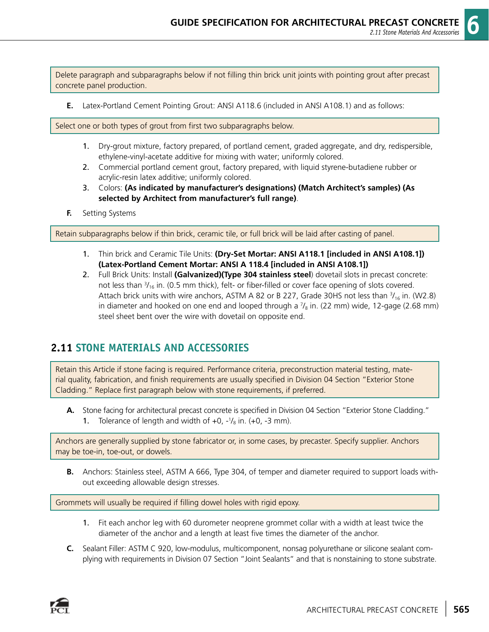Delete paragraph and subparagraphs below if not filling thin brick unit joints with pointing grout after precast concrete panel production.

**E.** Latex-Portland Cement Pointing Grout: ANSI A118.6 (included in ANSI A108.1) and as follows:

Select one or both types of grout from first two subparagraphs below.

- 1. Dry-grout mixture, factory prepared, of portland cement, graded aggregate, and dry, redispersible, ethylene-vinyl-acetate additive for mixing with water; uniformly colored.
- 2. Commercial portland cement grout, factory prepared, with liquid styrene-butadiene rubber or acrylic-resin latex additive; uniformly colored.
- 3. Colors: **(As indicated by manufacturer's designations) (Match Architect's samples) (As selected by Architect from manufacturer's full range)**.
- **F.** Setting Systems

Retain subparagraphs below if thin brick, ceramic tile, or full brick will be laid after casting of panel.

- 1. Thin brick and Ceramic Tile Units: **(Dry-Set Mortar: ANSI A118.1 [included in ANSI A108.1]) (Latex-Portland Cement Mortar: ANSI A 118.4 [included in ANSI A108.1])**
- 2. Full Brick Units: Install **(Galvanized)(Type 304 stainless steel**) dovetail slots in precast concrete: not less than  $\frac{3}{16}$  in. (0.5 mm thick), felt- or fiber-filled or cover face opening of slots covered. Attach brick units with wire anchors, ASTM A 82 or B 227, Grade 30HS not less than  $\frac{3}{16}$  in. (W2.8) in diameter and hooked on one end and looped through a  $\frac{7}{8}$  in. (22 mm) wide, 12-gage (2.68 mm) steel sheet bent over the wire with dovetail on opposite end.

#### **2.11 STONE MATERIALS AND ACCESSORIES**

Retain this Article if stone facing is required. Performance criteria, preconstruction material testing, material quality, fabrication, and finish requirements are usually specified in Division 04 Section "Exterior Stone Cladding." Replace first paragraph below with stone requirements, if preferred.

**A.** Stone facing for architectural precast concrete is specified in Division 04 Section "Exterior Stone Cladding." **1.** Tolerance of length and width of  $+0$ ,  $-1$ / $_8$  in.  $(+0, -3$  mm).

Anchors are generally supplied by stone fabricator or, in some cases, by precaster. Specify supplier. Anchors may be toe-in, toe-out, or dowels.

**B.** Anchors: Stainless steel, ASTM A 666, Type 304, of temper and diameter required to support loads without exceeding allowable design stresses.

Grommets will usually be required if filling dowel holes with rigid epoxy.

- 1. Fit each anchor leg with 60 durometer neoprene grommet collar with a width at least twice the diameter of the anchor and a length at least five times the diameter of the anchor.
- **C.** Sealant Filler: ASTM C 920, low-modulus, multicomponent, nonsag polyurethane or silicone sealant complying with requirements in Division 07 Section "Joint Sealants" and that is nonstaining to stone substrate.

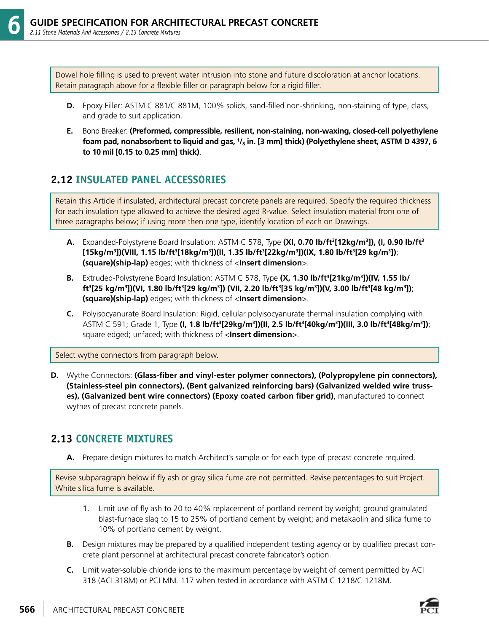Dowel hole filling is used to prevent water intrusion into stone and future discoloration at anchor locations. Retain paragraph above for a flexible filler or paragraph below for a rigid filler.

- **D.** Epoxy Filler: ASTM C 881/C 881M, 100% solids, sand-filled non-shrinking, non-staining of type, class, and grade to suit application.
- **E.** Bond Breaker: **(Preformed, compressible, resilient, non-staining, non-waxing, closed-cell polyethylene foam pad, nonabsorbent to liquid and gas, 1 /8 in. [3 mm] thick) (Polyethylene sheet, ASTM D 4397, 6 to 10 mil [0.15 to 0.25 mm] thick)**.

#### **2.12 INSULATED PANEL ACCESSORIES**

Retain this Article if insulated, architectural precast concrete panels are required. Specify the required thickness for each insulation type allowed to achieve the desired aged R-value. Select insulation material from one of three paragraphs below; if using more then one type, identify location of each on Drawings.

- **A.** Expanded-Polystyrene Board Insulation: ASTM C 578, Type **(XI, 0.70 lb/ft3 [12kg/m3 ]), (I, 0.90 lb/ft3 [15kg/m3 ])(VIII, 1.15 lb/ft3 [18kg/m3 ])(II, 1.35 lb/ft3 [22kg/m3 ])(IX, 1.80 lb/ft3 [29 kg/m3 ])**; **(square)(ship-lap)** edges; with thickness of <**Insert dimension**>.
- **B.** Extruded-Polystyrene Board Insulation: ASTM C 578, Type **(X, 1.30 lb/ft3 [21kg/m3 ])(IV, 1.55 lb/ ft3 [25 kg/m3 ])(VI, 1.80 lb/ft3 [29 kg/m3 ]) (VII, 2.20 lb/ft3 [35 kg/m3 ])(V, 3.00 lb/ft3 [48 kg/m3 ])**; **(square)(ship-lap)** edges; with thickness of <**Insert dimension**>.
- **C.** Polyisocyanurate Board Insulation: Rigid, cellular polyisocyanurate thermal insulation complying with ASTM C 591; Grade 1, Type **(I, 1.8 lb/ft3 [29kg/m3 ])(II, 2.5 lb/ft3 [40kg/m3 ])(III, 3.0 lb/ft3 [48kg/m3 ])**; square edged; unfaced; with thickness of <**Insert dimension**>.

Select wythe connectors from paragraph below.

**D.** Wythe Connectors: **(Glass-fiber and vinyl-ester polymer connectors), (Polypropylene pin connectors), (Stainless-steel pin connectors), (Bent galvanized reinforcing bars) (Galvanized welded wire trusses), (Galvanized bent wire connectors) (Epoxy coated carbon fiber grid)**, manufactured to connect wythes of precast concrete panels.

#### **2.13 CONCRETE MIXTURES**

**A.** Prepare design mixtures to match Architect's sample or for each type of precast concrete required.

Revise subparagraph below if fly ash or gray silica fume are not permitted. Revise percentages to suit Project. White silica fume is available.

- 1. Limit use of fly ash to 20 to 40% replacement of portland cement by weight; ground granulated blast-furnace slag to 15 to 25% of portland cement by weight; and metakaolin and silica fume to 10% of portland cement by weight.
- **B.** Design mixtures may be prepared by a qualified independent testing agency or by qualified precast concrete plant personnel at architectural precast concrete fabricator's option.
- **C.** Limit water-soluble chloride ions to the maximum percentage by weight of cement permitted by ACI 318 (ACI 318M) or PCI MNL 117 when tested in accordance with ASTM C 1218/C 1218M.

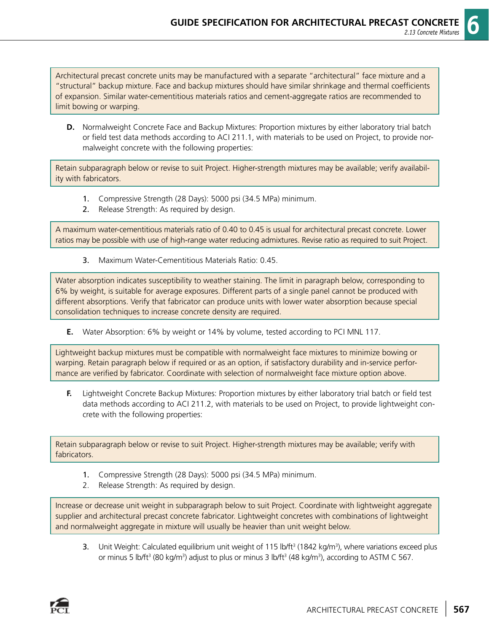Architectural precast concrete units may be manufactured with a separate "architectural" face mixture and a "structural" backup mixture. Face and backup mixtures should have similar shrinkage and thermal coefficients of expansion. Similar water-cementitious materials ratios and cement-aggregate ratios are recommended to limit bowing or warping.

**D.** Normalweight Concrete Face and Backup Mixtures: Proportion mixtures by either laboratory trial batch or field test data methods according to ACI 211.1, with materials to be used on Project, to provide normalweight concrete with the following properties:

Retain subparagraph below or revise to suit Project. Higher-strength mixtures may be available; verify availability with fabricators.

- 1. Compressive Strength (28 Days): 5000 psi (34.5 MPa) minimum.
- 2. Release Strength: As required by design.

A maximum water-cementitious materials ratio of 0.40 to 0.45 is usual for architectural precast concrete. Lower ratios may be possible with use of high-range water reducing admixtures. Revise ratio as required to suit Project.

3. Maximum Water-Cementitious Materials Ratio: 0.45.

Water absorption indicates susceptibility to weather staining. The limit in paragraph below, corresponding to 6% by weight, is suitable for average exposures. Different parts of a single panel cannot be produced with different absorptions. Verify that fabricator can produce units with lower water absorption because special consolidation techniques to increase concrete density are required.

**E.** Water Absorption: 6% by weight or 14% by volume, tested according to PCI MNL 117.

Lightweight backup mixtures must be compatible with normalweight face mixtures to minimize bowing or warping. Retain paragraph below if required or as an option, if satisfactory durability and in-service performance are verified by fabricator. Coordinate with selection of normalweight face mixture option above.

**F.** Lightweight Concrete Backup Mixtures: Proportion mixtures by either laboratory trial batch or field test data methods according to ACI 211.2, with materials to be used on Project, to provide lightweight concrete with the following properties:

Retain subparagraph below or revise to suit Project. Higher-strength mixtures may be available; verify with fabricators.

- 1. Compressive Strength (28 Days): 5000 psi (34.5 MPa) minimum.
- 2. Release Strength: As required by design.

Increase or decrease unit weight in subparagraph below to suit Project. Coordinate with lightweight aggregate supplier and architectural precast concrete fabricator. Lightweight concretes with combinations of lightweight and normalweight aggregate in mixture will usually be heavier than unit weight below.

**3.** Unit Weight: Calculated equilibrium unit weight of 115 lb/ft<sup>3</sup> (1842 kg/m<sup>3</sup>), where variations exceed plus or minus 5 lb/ft<sup>3</sup> (80 kg/m<sup>3</sup>) adjust to plus or minus 3 lb/ft<sup>3</sup> (48 kg/m<sup>3</sup>), according to ASTM C 567.

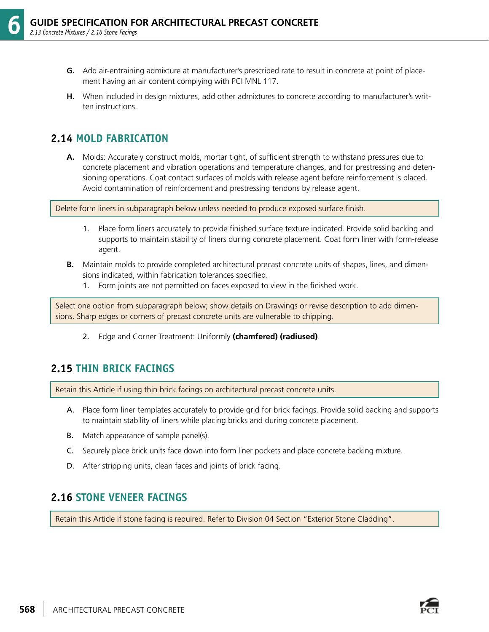- **G.** Add air-entraining admixture at manufacturer's prescribed rate to result in concrete at point of placement having an air content complying with PCI MNL 117.
- **H.** When included in design mixtures, add other admixtures to concrete according to manufacturer's written instructions.

#### **2.14 MOLD FABRICATION**

**A.** Molds: Accurately construct molds, mortar tight, of sufficient strength to withstand pressures due to concrete placement and vibration operations and temperature changes, and for prestressing and detensioning operations. Coat contact surfaces of molds with release agent before reinforcement is placed. Avoid contamination of reinforcement and prestressing tendons by release agent.

Delete form liners in subparagraph below unless needed to produce exposed surface finish.

- 1. Place form liners accurately to provide finished surface texture indicated. Provide solid backing and supports to maintain stability of liners during concrete placement. Coat form liner with form-release agent.
- **B.** Maintain molds to provide completed architectural precast concrete units of shapes, lines, and dimensions indicated, within fabrication tolerances specified.
	- 1. Form joints are not permitted on faces exposed to view in the finished work.

Select one option from subparagraph below; show details on Drawings or revise description to add dimensions. Sharp edges or corners of precast concrete units are vulnerable to chipping.

2. Edge and Corner Treatment: Uniformly **(chamfered) (radiused)**.

#### **2.15 THIN BRICK FACINGS**

Retain this Article if using thin brick facings on architectural precast concrete units.

- A. Place form liner templates accurately to provide grid for brick facings. Provide solid backing and supports to maintain stability of liners while placing bricks and during concrete placement.
- B. Match appearance of sample panel(s).
- C. Securely place brick units face down into form liner pockets and place concrete backing mixture.
- D. After stripping units, clean faces and joints of brick facing.

#### **2.16 STONE VENEER FACINGS**

Retain this Article if stone facing is required. Refer to Division 04 Section "Exterior Stone Cladding".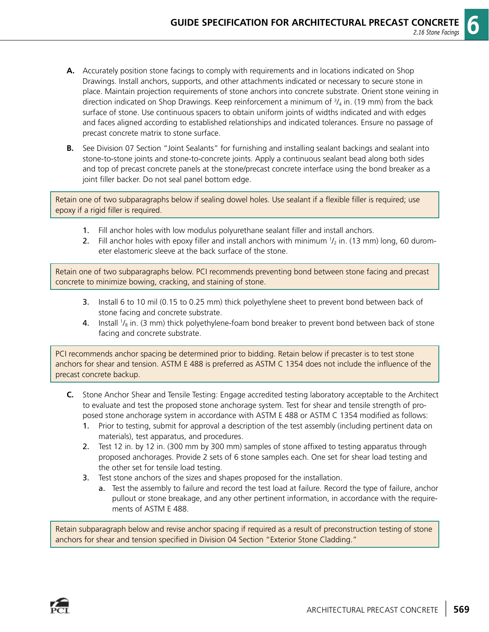- **A.** Accurately position stone facings to comply with requirements and in locations indicated on Shop Drawings. Install anchors, supports, and other attachments indicated or necessary to secure stone in place. Maintain projection requirements of stone anchors into concrete substrate. Orient stone veining in direction indicated on Shop Drawings. Keep reinforcement a minimum of  $\frac{3}{4}$  in. (19 mm) from the back surface of stone. Use continuous spacers to obtain uniform joints of widths indicated and with edges and faces aligned according to established relationships and indicated tolerances. Ensure no passage of precast concrete matrix to stone surface.
- **B.** See Division 07 Section "Joint Sealants" for furnishing and installing sealant backings and sealant into stone-to-stone joints and stone-to-concrete joints. Apply a continuous sealant bead along both sides and top of precast concrete panels at the stone/precast concrete interface using the bond breaker as a joint filler backer. Do not seal panel bottom edge.

Retain one of two subparagraphs below if sealing dowel holes. Use sealant if a flexible filler is required; use epoxy if a rigid filler is required.

- 1. Fill anchor holes with low modulus polyurethane sealant filler and install anchors.
- 2. Fill anchor holes with epoxy filler and install anchors with minimum  $1/2$  in. (13 mm) long, 60 durometer elastomeric sleeve at the back surface of the stone.

Retain one of two subparagraphs below. PCI recommends preventing bond between stone facing and precast concrete to minimize bowing, cracking, and staining of stone.

- 3. Install 6 to 10 mil (0.15 to 0.25 mm) thick polyethylene sheet to prevent bond between back of stone facing and concrete substrate.
- **4.** Install  $\frac{1}{8}$  in. (3 mm) thick polyethylene-foam bond breaker to prevent bond between back of stone facing and concrete substrate.

PCI recommends anchor spacing be determined prior to bidding. Retain below if precaster is to test stone anchors for shear and tension. ASTM E 488 is preferred as ASTM C 1354 does not include the influence of the precast concrete backup.

- **C.** Stone Anchor Shear and Tensile Testing: Engage accredited testing laboratory acceptable to the Architect to evaluate and test the proposed stone anchorage system. Test for shear and tensile strength of proposed stone anchorage system in accordance with ASTM E 488 or ASTM C 1354 modified as follows:
	- 1. Prior to testing, submit for approval a description of the test assembly (including pertinent data on materials), test apparatus, and procedures.
	- 2. Test 12 in. by 12 in. (300 mm by 300 mm) samples of stone affixed to testing apparatus through proposed anchorages. Provide 2 sets of 6 stone samples each. One set for shear load testing and the other set for tensile load testing.
	- 3. Test stone anchors of the sizes and shapes proposed for the installation.
		- a. Test the assembly to failure and record the test load at failure. Record the type of failure, anchor pullout or stone breakage, and any other pertinent information, in accordance with the requirements of ASTM E 488.

Retain subparagraph below and revise anchor spacing if required as a result of preconstruction testing of stone anchors for shear and tension specified in Division 04 Section "Exterior Stone Cladding."

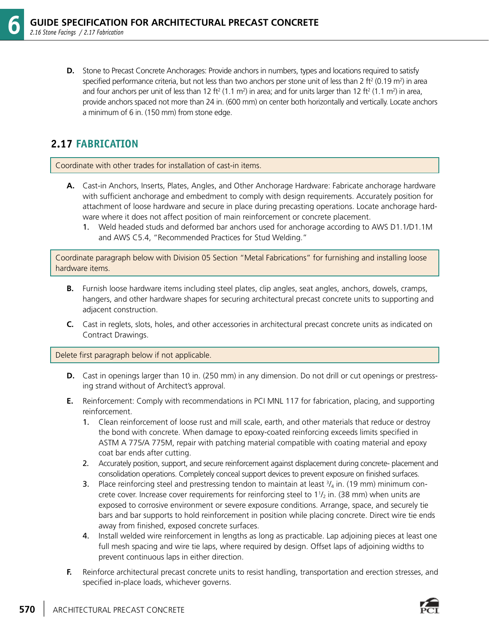**D.** Stone to Precast Concrete Anchorages: Provide anchors in numbers, types and locations required to satisfy specified performance criteria, but not less than two anchors per stone unit of less than 2 ft<sup>2</sup> (0.19 m<sup>2</sup>) in area and four anchors per unit of less than 12 ft<sup>2</sup> (1.1 m<sup>2</sup>) in area; and for units larger than 12 ft<sup>2</sup> (1.1 m<sup>2</sup>) in area, provide anchors spaced not more than 24 in. (600 mm) on center both horizontally and vertically. Locate anchors a minimum of 6 in. (150 mm) from stone edge.

### **2.17 FABRICATION**

Coordinate with other trades for installation of cast-in items.

- **A.** Cast-in Anchors, Inserts, Plates, Angles, and Other Anchorage Hardware: Fabricate anchorage hardware with sufficient anchorage and embedment to comply with design requirements. Accurately position for attachment of loose hardware and secure in place during precasting operations. Locate anchorage hardware where it does not affect position of main reinforcement or concrete placement.
	- 1. Weld headed studs and deformed bar anchors used for anchorage according to AWS D1.1/D1.1M and AWS C5.4, "Recommended Practices for Stud Welding."

Coordinate paragraph below with Division 05 Section "Metal Fabrications" for furnishing and installing loose hardware items.

- **B.** Furnish loose hardware items including steel plates, clip angles, seat angles, anchors, dowels, cramps, hangers, and other hardware shapes for securing architectural precast concrete units to supporting and adjacent construction.
- **C.** Cast in reglets, slots, holes, and other accessories in architectural precast concrete units as indicated on Contract Drawings.

Delete first paragraph below if not applicable.

- **D.** Cast in openings larger than 10 in. (250 mm) in any dimension. Do not drill or cut openings or prestressing strand without of Architect's approval.
- **E.** Reinforcement: Comply with recommendations in PCI MNL 117 for fabrication, placing, and supporting reinforcement.
	- 1. Clean reinforcement of loose rust and mill scale, earth, and other materials that reduce or destroy the bond with concrete. When damage to epoxy-coated reinforcing exceeds limits specified in ASTM A 775/A 775M, repair with patching material compatible with coating material and epoxy coat bar ends after cutting.
	- 2. Accurately position, support, and secure reinforcement against displacement during concrete- placement and consolidation operations. Completely conceal support devices to prevent exposure on finished surfaces.
- **3.** Place reinforcing steel and prestressing tendon to maintain at least  $\frac{3}{4}$  in. (19 mm) minimum concrete cover. Increase cover requirements for reinforcing steel to  $11/2$  in. (38 mm) when units are exposed to corrosive environment or severe exposure conditions. Arrange, space, and securely tie bars and bar supports to hold reinforcement in position while placing concrete. Direct wire tie ends away from finished, exposed concrete surfaces.
	- 4. Install welded wire reinforcement in lengths as long as practicable. Lap adjoining pieces at least one full mesh spacing and wire tie laps, where required by design. Offset laps of adjoining widths to prevent continuous laps in either direction.
	- **F.** Reinforce architectural precast concrete units to resist handling, transportation and erection stresses, and specified in-place loads, whichever governs.

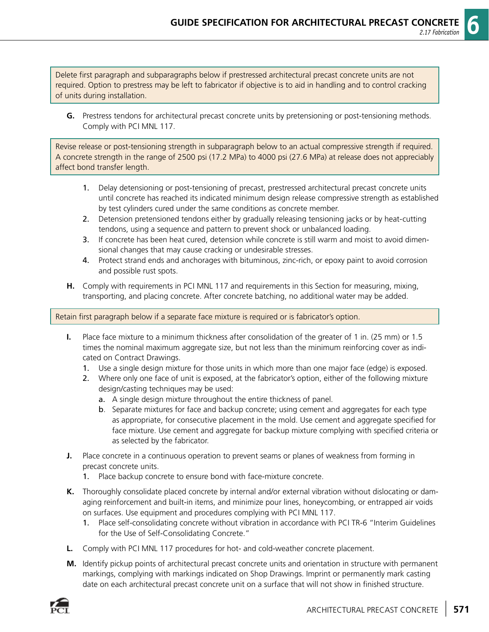Delete first paragraph and subparagraphs below if prestressed architectural precast concrete units are not required. Option to prestress may be left to fabricator if objective is to aid in handling and to control cracking of units during installation.

**G.** Prestress tendons for architectural precast concrete units by pretensioning or post-tensioning methods. Comply with PCI MNL 117.

Revise release or post-tensioning strength in subparagraph below to an actual compressive strength if required. A concrete strength in the range of 2500 psi (17.2 MPa) to 4000 psi (27.6 MPa) at release does not appreciably affect bond transfer length.

- 1. Delay detensioning or post-tensioning of precast, prestressed architectural precast concrete units until concrete has reached its indicated minimum design release compressive strength as established by test cylinders cured under the same conditions as concrete member.
- 2. Detension pretensioned tendons either by gradually releasing tensioning jacks or by heat-cutting tendons, using a sequence and pattern to prevent shock or unbalanced loading.
- 3. If concrete has been heat cured, detension while concrete is still warm and moist to avoid dimensional changes that may cause cracking or undesirable stresses.
- 4. Protect strand ends and anchorages with bituminous, zinc-rich, or epoxy paint to avoid corrosion and possible rust spots.
- **H.** Comply with requirements in PCI MNL 117 and requirements in this Section for measuring, mixing, transporting, and placing concrete. After concrete batching, no additional water may be added.

Retain first paragraph below if a separate face mixture is required or is fabricator's option.

- **I.** Place face mixture to a minimum thickness after consolidation of the greater of 1 in. (25 mm) or 1.5 times the nominal maximum aggregate size, but not less than the minimum reinforcing cover as indicated on Contract Drawings.
	- 1. Use a single design mixture for those units in which more than one major face (edge) is exposed.
	- 2. Where only one face of unit is exposed, at the fabricator's option, either of the following mixture design/casting techniques may be used:
		- a. A single design mixture throughout the entire thickness of panel.
		- b. Separate mixtures for face and backup concrete; using cement and aggregates for each type as appropriate, for consecutive placement in the mold. Use cement and aggregate specified for face mixture. Use cement and aggregate for backup mixture complying with specified criteria or as selected by the fabricator.
- **J.** Place concrete in a continuous operation to prevent seams or planes of weakness from forming in precast concrete units.
	- 1. Place backup concrete to ensure bond with face-mixture concrete.
- **K.** Thoroughly consolidate placed concrete by internal and/or external vibration without dislocating or damaging reinforcement and built-in items, and minimize pour lines, honeycombing, or entrapped air voids on surfaces. Use equipment and procedures complying with PCI MNL 117.
	- 1. Place self-consolidating concrete without vibration in accordance with PCI TR-6 "Interim Guidelines for the Use of Self-Consolidating Concrete."
- **L.** Comply with PCI MNL 117 procedures for hot- and cold-weather concrete placement.
- **M.** Identify pickup points of architectural precast concrete units and orientation in structure with permanent markings, complying with markings indicated on Shop Drawings. Imprint or permanently mark casting date on each architectural precast concrete unit on a surface that will not show in finished structure.

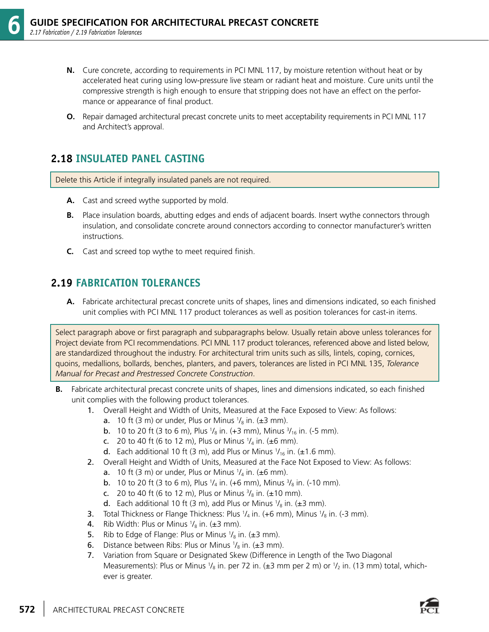- **N.** Cure concrete, according to requirements in PCI MNL 117, by moisture retention without heat or by accelerated heat curing using low-pressure live steam or radiant heat and moisture. Cure units until the compressive strength is high enough to ensure that stripping does not have an effect on the performance or appearance of final product.
- **O.** Repair damaged architectural precast concrete units to meet acceptability requirements in PCI MNL 117 and Architect's approval.

#### **2.18 INSULATED PANEL CASTING**

Delete this Article if integrally insulated panels are not required.

- **A.** Cast and screed wythe supported by mold.
- **B.** Place insulation boards, abutting edges and ends of adjacent boards. Insert wythe connectors through insulation, and consolidate concrete around connectors according to connector manufacturer's written instructions.
- **C.** Cast and screed top wythe to meet required finish.

#### **2.19 FABRICATION TOLERANCES**

**A.** Fabricate architectural precast concrete units of shapes, lines and dimensions indicated, so each finished unit complies with PCI MNL 117 product tolerances as well as position tolerances for cast-in items.

Select paragraph above or first paragraph and subparagraphs below. Usually retain above unless tolerances for Project deviate from PCI recommendations. PCI MNL 117 product tolerances, referenced above and listed below, are standardized throughout the industry. For architectural trim units such as sills, lintels, coping, cornices, quoins, medallions, bollards, benches, planters, and pavers, tolerances are listed in PCI MNL 135, *Tolerance Manual for Precast and Prestressed Concrete Construction*.

- **B.** Fabricate architectural precast concrete units of shapes, lines and dimensions indicated, so each finished unit complies with the following product tolerances.
	- 1. Overall Height and Width of Units, Measured at the Face Exposed to View: As follows:
- **a.** 10 ft (3 m) or under, Plus or Minus  $\frac{1}{8}$  in. ( $\pm$ 3 mm).
- **b.** 10 to 20 ft (3 to 6 m), Plus  $\frac{1}{8}$  in. (+3 mm), Minus  $\frac{3}{16}$  in. (-5 mm).
- c. 20 to 40 ft (6 to 12 m), Plus or Minus  $\frac{1}{4}$  in. ( $\pm 6$  mm).
- **d.** Each additional 10 ft (3 m), add Plus or Minus  $1/16$  in. ( $\pm$ 1.6 mm).
	- 2. Overall Height and Width of Units, Measured at the Face Not Exposed to View: As follows:
- **a.** 10 ft (3 m) or under, Plus or Minus  $\frac{1}{4}$  in. ( $\pm 6$  mm).
- **b.** 10 to 20 ft (3 to 6 m), Plus  $\frac{1}{4}$  in. (+6 mm), Minus  $\frac{3}{8}$  in. (-10 mm).
- c. 20 to 40 ft (6 to 12 m), Plus or Minus  $\frac{3}{8}$  in. ( $\pm$ 10 mm).
- **d.** Each additional 10 ft (3 m), add Plus or Minus  $\frac{1}{8}$  in. ( $\pm$ 3 mm).
- **3.** Total Thickness or Flange Thickness: Plus  $\frac{1}{4}$  in. (+6 mm), Minus  $\frac{1}{8}$  in. (-3 mm).
- **4**. Rib Width: Plus or Minus  $\frac{1}{8}$  in. ( $\pm$ 3 mm).
- **5.** Rib to Edge of Flange: Plus or Minus  $\frac{1}{8}$  in. ( $\pm$ 3 mm).
- **6.** Distance between Ribs: Plus or Minus  $\frac{1}{8}$  in. ( $\pm$ 3 mm).
	- 7. Variation from Square or Designated Skew (Difference in Length of the Two Diagonal Measurements): Plus or Minus 1/<sub>8</sub> in. per 72 in. (±3 mm per 2 m) or 1/<sub>2</sub> in. (13 mm) total, whichever is greater.

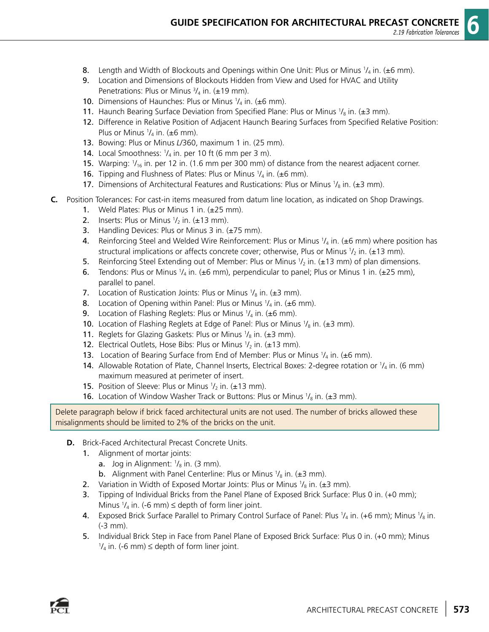- **8.** Length and Width of Blockouts and Openings within One Unit: Plus or Minus  $\frac{1}{4}$  in. ( $\pm$ 6 mm).
	- 9. Location and Dimensions of Blockouts Hidden from View and Used for HVAC and Utility Penetrations: Plus or Minus  $\frac{3}{4}$  in. ( $\pm$ 19 mm).
- **10.** Dimensions of Haunches: Plus or Minus  $\frac{1}{4}$  in. ( $\pm 6$  mm).
- **11.** Haunch Bearing Surface Deviation from Specified Plane: Plus or Minus  $\frac{1}{8}$  in. ( $\pm$ 3 mm).
	- 12. Difference in Relative Position of Adjacent Haunch Bearing Surfaces from Specified Relative Position: Plus or Minus  $\frac{1}{4}$  in. ( $\pm 6$  mm).
	- 13. Bowing: Plus or Minus *L*/360, maximum 1 in. (25 mm).
- **14.** Local Smoothness:  $\frac{1}{4}$  in. per 10 ft (6 mm per 3 m).
- **15.** Warping:  $1/16$  in. per 12 in. (1.6 mm per 300 mm) of distance from the nearest adjacent corner.
- **16.** Tipping and Flushness of Plates: Plus or Minus  $1/4$  in. ( $\pm 6$  mm).
- **17.** Dimensions of Architectural Features and Rustications: Plus or Minus  $\frac{1}{8}$  in. ( $\pm$ 3 mm).
- **C.** Position Tolerances: For cast-in items measured from datum line location, as indicated on Shop Drawings.
	- 1. Weld Plates: Plus or Minus 1 in. (±25 mm).
- 2. Inserts: Plus or Minus  $1/2$  in. ( $\pm$ 13 mm).
	- **3.** Handling Devices: Plus or Minus 3 in.  $(\pm 75 \text{ mm})$ .
- 4. Reinforcing Steel and Welded Wire Reinforcement: Plus or Minus  $\mathcal{V}_4$  in. ( $\pm$ 6 mm) where position has structural implications or affects concrete cover; otherwise, Plus or Minus  $1/2$  in. (±13 mm).
- **5.** Reinforcing Steel Extending out of Member: Plus or Minus  $1/2$  in. ( $\pm 13$  mm) of plan dimensions.
- **6.** Tendons: Plus or Minus  $\frac{1}{4}$  in. ( $\pm 6$  mm), perpendicular to panel; Plus or Minus 1 in. ( $\pm 25$  mm), parallel to panel.
- 7. Location of Rustication Joints: Plus or Minus  $\frac{1}{8}$  in. ( $\pm$ 3 mm).
- **8.** Location of Opening within Panel: Plus or Minus  $\frac{1}{4}$  in. ( $\pm 6$  mm).
- **9.** Location of Flashing Reglets: Plus or Minus  $\frac{1}{4}$  in. ( $\pm 6$  mm).
- **10.** Location of Flashing Reglets at Edge of Panel: Plus or Minus  $\frac{1}{8}$  in. (±3 mm).
- **11.** Reglets for Glazing Gaskets: Plus or Minus  $\frac{1}{8}$  in. ( $\pm$ 3 mm).
- **12.** Electrical Outlets, Hose Bibs: Plus or Minus  $\frac{1}{2}$  in. ( $\pm$ 13 mm).
- **13.** Location of Bearing Surface from End of Member: Plus or Minus  $\frac{1}{4}$  in. ( $\pm$ 6 mm).
- **14.** Allowable Rotation of Plate, Channel Inserts, Electrical Boxes: 2-degree rotation or  $\frac{1}{4}$  in. (6 mm) maximum measured at perimeter of insert.
- **15.** Position of Sleeve: Plus or Minus  $1/2$  in. ( $\pm$ 13 mm).
- **16.** Location of Window Washer Track or Buttons: Plus or Minus  $\frac{1}{8}$  in. ( $\pm$ 3 mm).

Delete paragraph below if brick faced architectural units are not used. The number of bricks allowed these misalignments should be limited to 2% of the bricks on the unit.

- **D.** Brick-Faced Architectural Precast Concrete Units.
	- 1. Alignment of mortar joints:
- **a.** Jog in Alignment:  $\frac{1}{8}$  in. (3 mm).
- **b.** Alignment with Panel Centerline: Plus or Minus  $\frac{1}{8}$  in. ( $\pm$ 3 mm).
- 2. Variation in Width of Exposed Mortar Joints: Plus or Minus  $\frac{1}{8}$  in. ( $\pm$ 3 mm).
	- 3. Tipping of Individual Bricks from the Panel Plane of Exposed Brick Surface: Plus 0 in. (+0 mm); Minus  $\frac{1}{4}$  in. (-6 mm)  $\leq$  depth of form liner joint.
- 4. Exposed Brick Surface Parallel to Primary Control Surface of Panel: Plus  $\frac{1}{4}$  in. (+6 mm); Minus  $\frac{1}{8}$  in. (-3 mm).
	- 5. Individual Brick Step in Face from Panel Plane of Exposed Brick Surface: Plus 0 in. (+0 mm); Minus  $\frac{1}{4}$  in. (-6 mm)  $\leq$  depth of form liner joint.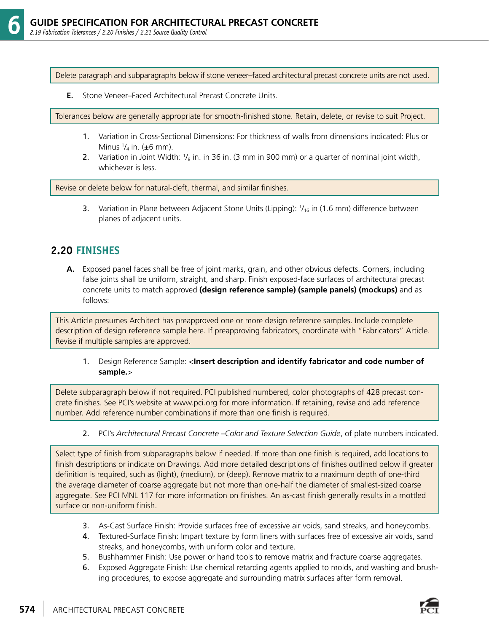Delete paragraph and subparagraphs below if stone veneer–faced architectural precast concrete units are not used.

**E.** Stone Veneer–Faced Architectural Precast Concrete Units.

Tolerances below are generally appropriate for smooth-finished stone. Retain, delete, or revise to suit Project.

- 1. Variation in Cross-Sectional Dimensions: For thickness of walls from dimensions indicated: Plus or Minus  $\frac{1}{4}$  in. ( $\pm 6$  mm).
- 2. Variation in Joint Width:  $\frac{1}{8}$  in. in 36 in. (3 mm in 900 mm) or a quarter of nominal joint width, whichever is less.

Revise or delete below for natural-cleft, thermal, and similar finishes.

**3.** Variation in Plane between Adjacent Stone Units (Lipping):  $1/16$  in (1.6 mm) difference between planes of adjacent units.

#### **2.20 FINISHES**

**A.** Exposed panel faces shall be free of joint marks, grain, and other obvious defects. Corners, including false joints shall be uniform, straight, and sharp. Finish exposed-face surfaces of architectural precast concrete units to match approved **(design reference sample) (sample panels) (mockups)** and as follows:

This Article presumes Architect has preapproved one or more design reference samples. Include complete description of design reference sample here. If preapproving fabricators, coordinate with "Fabricators" Article. Revise if multiple samples are approved.

 1. Design Reference Sample: <**Insert description and identify fabricator and code number of sample.**>

Delete subparagraph below if not required. PCI published numbered, color photographs of 428 precast concrete finishes. See PCI's website at www.pci.org for more information. If retaining, revise and add reference number. Add reference number combinations if more than one finish is required.

2. PCI's *Architectural Precast Concrete –Color and Texture Selection Guide*, of plate numbers indicated.

Select type of finish from subparagraphs below if needed. If more than one finish is required, add locations to finish descriptions or indicate on Drawings. Add more detailed descriptions of finishes outlined below if greater definition is required, such as (light), (medium), or (deep). Remove matrix to a maximum depth of one-third the average diameter of coarse aggregate but not more than one-half the diameter of smallest-sized coarse aggregate. See PCI MNL 117 for more information on finishes. An as-cast finish generally results in a mottled surface or non-uniform finish.

- 3. As-Cast Surface Finish: Provide surfaces free of excessive air voids, sand streaks, and honeycombs.
- 4. Textured-Surface Finish: Impart texture by form liners with surfaces free of excessive air voids, sand streaks, and honeycombs, with uniform color and texture.
- 5. Bushhammer Finish: Use power or hand tools to remove matrix and fracture coarse aggregates.
- 6. Exposed Aggregate Finish: Use chemical retarding agents applied to molds, and washing and brushing procedures, to expose aggregate and surrounding matrix surfaces after form removal.

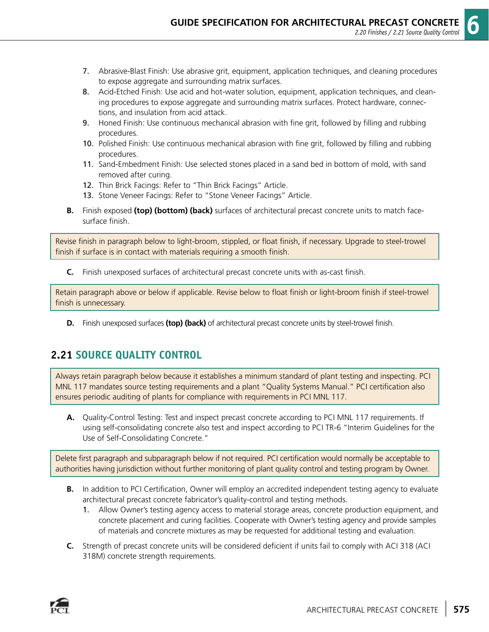- 7. Abrasive-Blast Finish: Use abrasive grit, equipment, application techniques, and cleaning procedures to expose aggregate and surrounding matrix surfaces.
- 8. Acid-Etched Finish: Use acid and hot-water solution, equipment, application techniques, and cleaning procedures to expose aggregate and surrounding matrix surfaces. Protect hardware, connections, and insulation from acid attack.
- 9. Honed Finish: Use continuous mechanical abrasion with fine grit, followed by filling and rubbing procedures.
- 10. Polished Finish: Use continuous mechanical abrasion with fine grit, followed by filling and rubbing procedures.
- 11. Sand-Embedment Finish: Use selected stones placed in a sand bed in bottom of mold, with sand removed after curing.
- 12. Thin Brick Facings: Refer to "Thin Brick Facings" Article.
- 13. Stone Veneer Facings: Refer to "Stone Veneer Facings" Article.
- **B.** Finish exposed **(top) (bottom) (back)** surfaces of architectural precast concrete units to match facesurface finish.

Revise finish in paragraph below to light-broom, stippled, or float finish, if necessary. Upgrade to steel-trowel finish if surface is in contact with materials requiring a smooth finish.

**C.** Finish unexposed surfaces of architectural precast concrete units with as-cast finish.

Retain paragraph above or below if applicable. Revise below to float finish or light-broom finish if steel-trowel finish is unnecessary.

**D.** Finish unexposed surfaces **(top) (back)** of architectural precast concrete units by steel-trowel finish.

#### **2.21 SOURCE QUALITY CONTROL**

Always retain paragraph below because it establishes a minimum standard of plant testing and inspecting. PCI MNL 117 mandates source testing requirements and a plant "Quality Systems Manual." PCI certification also ensures periodic auditing of plants for compliance with requirements in PCI MNL 117.

**A.** Quality-Control Testing: Test and inspect precast concrete according to PCI MNL 117 requirements. If using self-consolidating concrete also test and inspect according to PCI TR-6 "Interim Guidelines for the Use of Self-Consolidating Concrete."

Delete first paragraph and subparagraph below if not required. PCI certification would normally be acceptable to authorities having jurisdiction without further monitoring of plant quality control and testing program by Owner.

- **B.** In addition to PCI Certification, Owner will employ an accredited independent testing agency to evaluate architectural precast concrete fabricator's quality-control and testing methods.
	- 1. Allow Owner's testing agency access to material storage areas, concrete production equipment, and concrete placement and curing facilities. Cooperate with Owner's testing agency and provide samples of materials and concrete mixtures as may be requested for additional testing and evaluation.
- **C.** Strength of precast concrete units will be considered deficient if units fail to comply with ACI 318 (ACI 318M) concrete strength requirements.

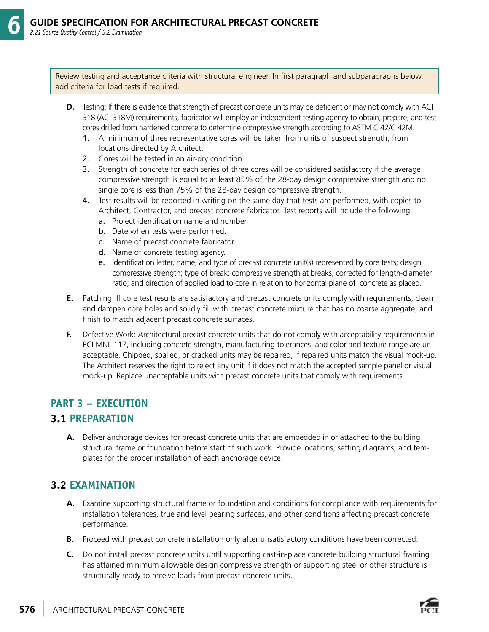Review testing and acceptance criteria with structural engineer. In first paragraph and subparagraphs below, add criteria for load tests if required.

- **D.** Testing: If there is evidence that strength of precast concrete units may be deficient or may not comply with ACI 318 (ACI 318M) requirements, fabricator will employ an independent testing agency to obtain, prepare, and test cores drilled from hardened concrete to determine compressive strength according to ASTM C 42/C 42M.
	- 1. A minimum of three representative cores will be taken from units of suspect strength, from locations directed by Architect.
	- 2. Cores will be tested in an air-dry condition.
	- 3. Strength of concrete for each series of three cores will be considered satisfactory if the average compressive strength is equal to at least 85% of the 28-day design compressive strength and no single core is less than 75% of the 28-day design compressive strength.
	- 4. Test results will be reported in writing on the same day that tests are performed, with copies to Architect, Contractor, and precast concrete fabricator. Test reports will include the following:
		- a. Project identification name and number.
		- b. Date when tests were performed.
		- c. Name of precast concrete fabricator.
		- d. Name of concrete testing agency.
		- e. Identification letter, name, and type of precast concrete unit(s) represented by core tests; design compressive strength; type of break; compressive strength at breaks, corrected for length-diameter ratio; and direction of applied load to core in relation to horizontal plane of concrete as placed.
- **E.** Patching: If core test results are satisfactory and precast concrete units comply with requirements, clean and dampen core holes and solidly fill with precast concrete mixture that has no coarse aggregate, and finish to match adjacent precast concrete surfaces.
- **F.** Defective Work: Architectural precast concrete units that do not comply with acceptability requirements in PCI MNL 117, including concrete strength, manufacturing tolerances, and color and texture range are unacceptable. Chipped, spalled, or cracked units may be repaired, if repaired units match the visual mock-up. The Architect reserves the right to reject any unit if it does not match the accepted sample panel or visual mock-up. Replace unacceptable units with precast concrete units that comply with requirements.

#### **PART 3 – EXECUTION**

#### **3.1 PREPARATION**

**A.** Deliver anchorage devices for precast concrete units that are embedded in or attached to the building structural frame or foundation before start of such work. Provide locations, setting diagrams, and templates for the proper installation of each anchorage device.

#### **3.2 EXAMINATION**

- **A.** Examine supporting structural frame or foundation and conditions for compliance with requirements for installation tolerances, true and level bearing surfaces, and other conditions affecting precast concrete performance.
- **B.** Proceed with precast concrete installation only after unsatisfactory conditions have been corrected.
- **C.** Do not install precast concrete units until supporting cast-in-place concrete building structural framing has attained minimum allowable design compressive strength or supporting steel or other structure is structurally ready to receive loads from precast concrete units.

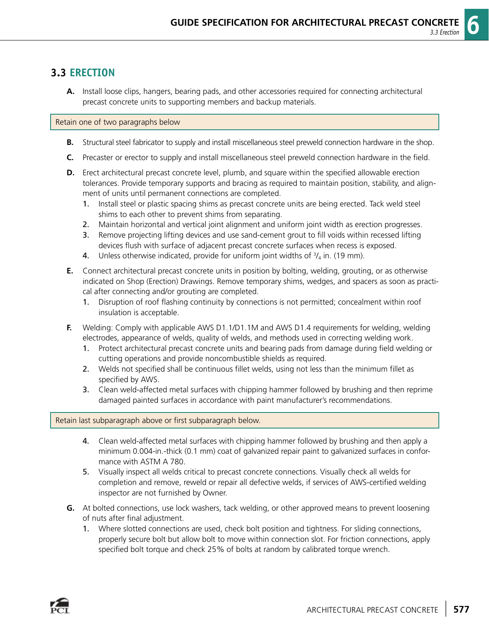#### **3.3 ERECTION**

**A.** Install loose clips, hangers, bearing pads, and other accessories required for connecting architectural precast concrete units to supporting members and backup materials.

Retain one of two paragraphs below

- **B.** Structural steel fabricator to supply and install miscellaneous steel preweld connection hardware in the shop.
- **C.** Precaster or erector to supply and install miscellaneous steel preweld connection hardware in the field.
- **D.** Erect architectural precast concrete level, plumb, and square within the specified allowable erection tolerances. Provide temporary supports and bracing as required to maintain position, stability, and alignment of units until permanent connections are completed.
	- 1. Install steel or plastic spacing shims as precast concrete units are being erected. Tack weld steel shims to each other to prevent shims from separating.
	- 2. Maintain horizontal and vertical joint alignment and uniform joint width as erection progresses.
	- 3. Remove projecting lifting devices and use sand-cement grout to fill voids within recessed lifting devices flush with surface of adjacent precast concrete surfaces when recess is exposed.
- **4.** Unless otherwise indicated, provide for uniform joint widths of  $\frac{3}{4}$  in. (19 mm).
	- **E.** Connect architectural precast concrete units in position by bolting, welding, grouting, or as otherwise indicated on Shop (Erection) Drawings. Remove temporary shims, wedges, and spacers as soon as practical after connecting and/or grouting are completed.
		- 1. Disruption of roof flashing continuity by connections is not permitted; concealment within roof insulation is acceptable.
	- **F.** Welding: Comply with applicable AWS D1.1/D1.1M and AWS D1.4 requirements for welding, welding electrodes, appearance of welds, quality of welds, and methods used in correcting welding work.
		- 1. Protect architectural precast concrete units and bearing pads from damage during field welding or cutting operations and provide noncombustible shields as required.
		- 2. Welds not specified shall be continuous fillet welds, using not less than the minimum fillet as specified by AWS.
		- 3. Clean weld-affected metal surfaces with chipping hammer followed by brushing and then reprime damaged painted surfaces in accordance with paint manufacturer's recommendations.

#### Retain last subparagraph above or first subparagraph below.

- 4. Clean weld-affected metal surfaces with chipping hammer followed by brushing and then apply a minimum 0.004-in.-thick (0.1 mm) coat of galvanized repair paint to galvanized surfaces in conformance with ASTM A 780.
- 5. Visually inspect all welds critical to precast concrete connections. Visually check all welds for completion and remove, reweld or repair all defective welds, if services of AWS-certified welding inspector are not furnished by Owner.
- **G.** At bolted connections, use lock washers, tack welding, or other approved means to prevent loosening of nuts after final adjustment.
	- 1. Where slotted connections are used, check bolt position and tightness. For sliding connections, properly secure bolt but allow bolt to move within connection slot. For friction connections, apply specified bolt torque and check 25% of bolts at random by calibrated torque wrench.

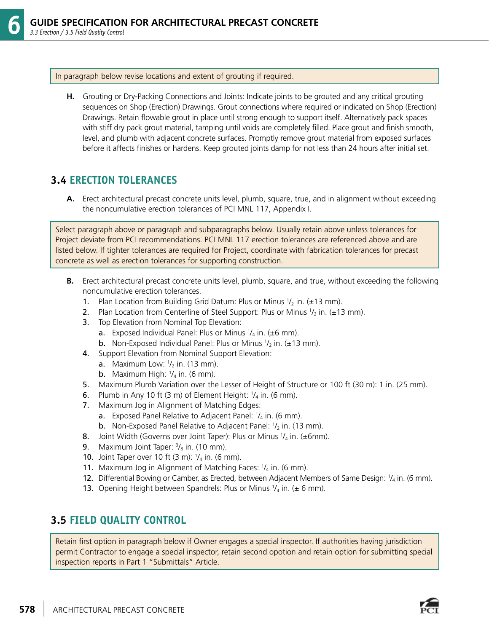In paragraph below revise locations and extent of grouting if required.

**H.** Grouting or Dry-Packing Connections and Joints: Indicate joints to be grouted and any critical grouting sequences on Shop (Erection) Drawings. Grout connections where required or indicated on Shop (Erection) Drawings. Retain flowable grout in place until strong enough to support itself. Alternatively pack spaces with stiff dry pack grout material, tamping until voids are completely filled. Place grout and finish smooth, level, and plumb with adjacent concrete surfaces. Promptly remove grout material from exposed surfaces before it affects finishes or hardens. Keep grouted joints damp for not less than 24 hours after initial set.

#### **3.4 ERECTION TOLERANCES**

**A.** Erect architectural precast concrete units level, plumb, square, true, and in alignment without exceeding the noncumulative erection tolerances of PCI MNL 117, Appendix I.

Select paragraph above or paragraph and subparagraphs below. Usually retain above unless tolerances for Project deviate from PCI recommendations. PCI MNL 117 erection tolerances are referenced above and are listed below. If tighter tolerances are required for Project, coordinate with fabrication tolerances for precast concrete as well as erection tolerances for supporting construction.

- **B.** Erect architectural precast concrete units level, plumb, square, and true, without exceeding the following noncumulative erection tolerances.
- **1.** Plan Location from Building Grid Datum: Plus or Minus  $1/2$  in. ( $\pm$ 13 mm).
- 2. Plan Location from Centerline of Steel Support: Plus or Minus  $1/2$  in. ( $\pm 13$  mm).
	- 3. Top Elevation from Nominal Top Elevation:
- **a.** Exposed Individual Panel: Plus or Minus  $\frac{1}{4}$  in. ( $\pm 6$  mm).
- **b.** Non-Exposed Individual Panel: Plus or Minus  $1/2$  in. ( $\pm$ 13 mm).
	- 4. Support Elevation from Nominal Support Elevation:
- **a.** Maximum Low:  $1/2$  in. (13 mm).
- **b.** Maximum High:  $\frac{1}{4}$  in. (6 mm).
	- 5. Maximum Plumb Variation over the Lesser of Height of Structure or 100 ft (30 m): 1 in. (25 mm).
- **6.** Plumb in Any 10 ft (3 m) of Element Height:  $1/4$  in. (6 mm).
	- 7. Maximum Jog in Alignment of Matching Edges:
- **a.** Exposed Panel Relative to Adjacent Panel:  $1/4$  in. (6 mm).
- **b.** Non-Exposed Panel Relative to Adjacent Panel:  $1/2$  in. (13 mm).
- **8.** Joint Width (Governs over Joint Taper): Plus or Minus  $1/4$  in. ( $\pm 6$ mm).
- **9.** Maximum Joint Taper:  $\frac{3}{8}$  in. (10 mm).
- **10.** Joint Taper over 10 ft  $(3 \text{ m})$ :  $\frac{1}{4}$  in.  $(6 \text{ mm})$ .
- **11.** Maximum Jog in Alignment of Matching Faces:  $1/4$  in. (6 mm).
- **12.** Differential Bowing or Camber, as Erected, between Adjacent Members of Same Design:  $\frac{1}{4}$  in. (6 mm).
- **13.** Opening Height between Spandrels: Plus or Minus  $\frac{1}{4}$  in. ( $\pm$  6 mm).

#### **3.5 FIELD QUALITY CONTROL**

Retain first option in paragraph below if Owner engages a special inspector. If authorities having jurisdiction permit Contractor to engage a special inspector, retain second opotion and retain option for submitting special inspection reports in Part 1 "Submittals" Article.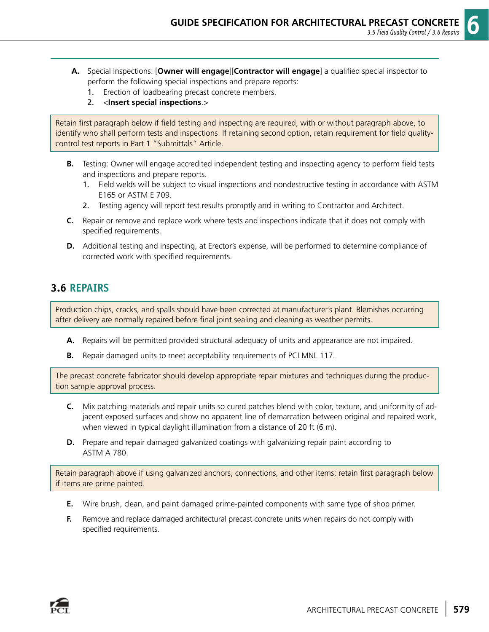- **A.** Special Inspections: [**Owner will engage**][**Contractor will engage**] a qualified special inspector to perform the following special inspections and prepare reports:
	- 1. Erection of loadbearing precast concrete members.
	- 2. <**Insert special inspections**.>

Retain first paragraph below if field testing and inspecting are required, with or without paragraph above, to identify who shall perform tests and inspections. If retaining second option, retain requirement for field qualitycontrol test reports in Part 1 "Submittals" Article.

- **B.** Testing: Owner will engage accredited independent testing and inspecting agency to perform field tests and inspections and prepare reports.
	- 1. Field welds will be subject to visual inspections and nondestructive testing in accordance with ASTM E165 or ASTM E 709.
	- 2. Testing agency will report test results promptly and in writing to Contractor and Architect.
- **C.** Repair or remove and replace work where tests and inspections indicate that it does not comply with specified requirements.
- **D.** Additional testing and inspecting, at Erector's expense, will be performed to determine compliance of corrected work with specified requirements.

#### **3.6 REPAIRS**

Production chips, cracks, and spalls should have been corrected at manufacturer's plant. Blemishes occurring after delivery are normally repaired before final joint sealing and cleaning as weather permits.

- **A.** Repairs will be permitted provided structural adequacy of units and appearance are not impaired.
- **B.** Repair damaged units to meet acceptability requirements of PCI MNL 117.

The precast concrete fabricator should develop appropriate repair mixtures and techniques during the production sample approval process.

- **C.** Mix patching materials and repair units so cured patches blend with color, texture, and uniformity of adjacent exposed surfaces and show no apparent line of demarcation between original and repaired work, when viewed in typical daylight illumination from a distance of 20 ft (6 m).
- **D.** Prepare and repair damaged galvanized coatings with galvanizing repair paint according to ASTM A 780.

Retain paragraph above if using galvanized anchors, connections, and other items; retain first paragraph below if items are prime painted.

- **E.** Wire brush, clean, and paint damaged prime-painted components with same type of shop primer.
- **F.** Remove and replace damaged architectural precast concrete units when repairs do not comply with specified requirements.